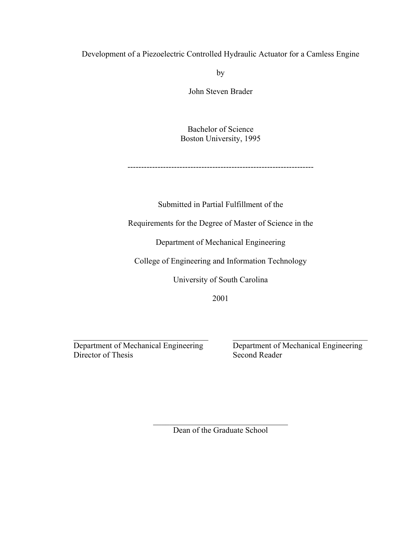Development of a Piezoelectric Controlled Hydraulic Actuator for a Camless Engine

by

John Steven Brader

Bachelor of Science Boston University, 1995

--------------------------------------------------------------------

Submitted in Partial Fulfillment of the

Requirements for the Degree of Master of Science in the

Department of Mechanical Engineering

College of Engineering and Information Technology

University of South Carolina

2001

\_\_\_\_\_\_\_\_\_\_\_\_\_\_\_\_\_\_\_\_\_\_\_\_\_\_\_\_\_\_\_\_\_ Department of Mechanical Engineering Director of Thesis

\_\_\_\_\_\_\_\_\_\_\_\_\_\_\_\_\_\_\_\_\_\_\_\_\_\_\_\_\_\_\_\_\_ Department of Mechanical Engineering Second Reader

\_\_\_\_\_\_\_\_\_\_\_\_\_\_\_\_\_\_\_\_\_\_\_\_\_\_\_\_\_\_\_\_\_ Dean of the Graduate School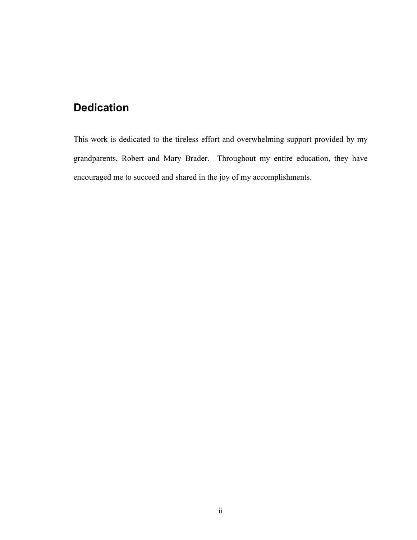# <span id="page-1-0"></span>**Dedication**

This work is dedicated to the tireless effort and overwhelming support provided by my grandparents, Robert and Mary Brader. Throughout my entire education, they have encouraged me to succeed and shared in the joy of my accomplishments.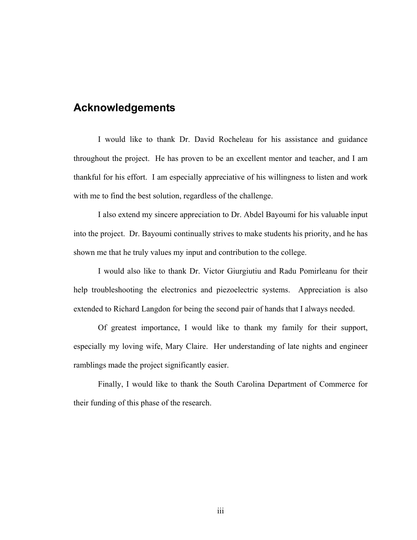# <span id="page-2-0"></span>**Acknowledgements**

I would like to thank Dr. David Rocheleau for his assistance and guidance throughout the project. He has proven to be an excellent mentor and teacher, and I am thankful for his effort. I am especially appreciative of his willingness to listen and work with me to find the best solution, regardless of the challenge.

I also extend my sincere appreciation to Dr. Abdel Bayoumi for his valuable input into the project. Dr. Bayoumi continually strives to make students his priority, and he has shown me that he truly values my input and contribution to the college.

I would also like to thank Dr. Victor Giurgiutiu and Radu Pomirleanu for their help troubleshooting the electronics and piezoelectric systems. Appreciation is also extended to Richard Langdon for being the second pair of hands that I always needed.

Of greatest importance, I would like to thank my family for their support, especially my loving wife, Mary Claire. Her understanding of late nights and engineer ramblings made the project significantly easier.

Finally, I would like to thank the South Carolina Department of Commerce for their funding of this phase of the research.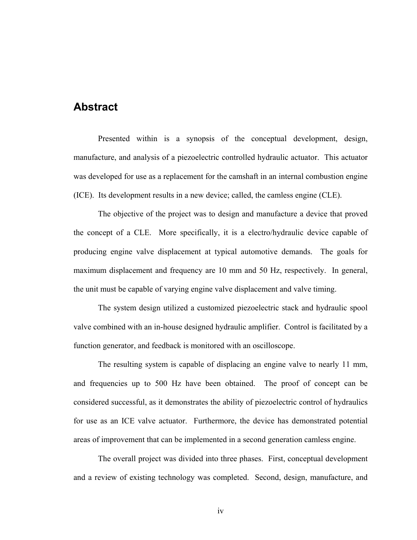### <span id="page-3-0"></span>**Abstract**

Presented within is a synopsis of the conceptual development, design, manufacture, and analysis of a piezoelectric controlled hydraulic actuator. This actuator was developed for use as a replacement for the camshaft in an internal combustion engine (ICE). Its development results in a new device; called, the camless engine (CLE).

The objective of the project was to design and manufacture a device that proved the concept of a CLE. More specifically, it is a electro/hydraulic device capable of producing engine valve displacement at typical automotive demands. The goals for maximum displacement and frequency are 10 mm and 50 Hz, respectively. In general, the unit must be capable of varying engine valve displacement and valve timing.

The system design utilized a customized piezoelectric stack and hydraulic spool valve combined with an in-house designed hydraulic amplifier. Control is facilitated by a function generator, and feedback is monitored with an oscilloscope.

The resulting system is capable of displacing an engine valve to nearly 11 mm, and frequencies up to 500 Hz have been obtained. The proof of concept can be considered successful, as it demonstrates the ability of piezoelectric control of hydraulics for use as an ICE valve actuator. Furthermore, the device has demonstrated potential areas of improvement that can be implemented in a second generation camless engine.

The overall project was divided into three phases. First, conceptual development and a review of existing technology was completed. Second, design, manufacture, and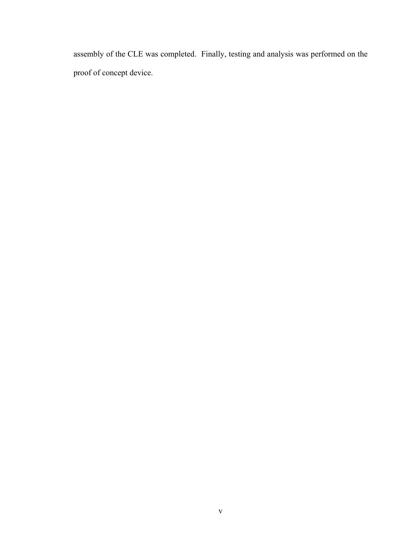assembly of the CLE was completed. Finally, testing and analysis was performed on the proof of concept device.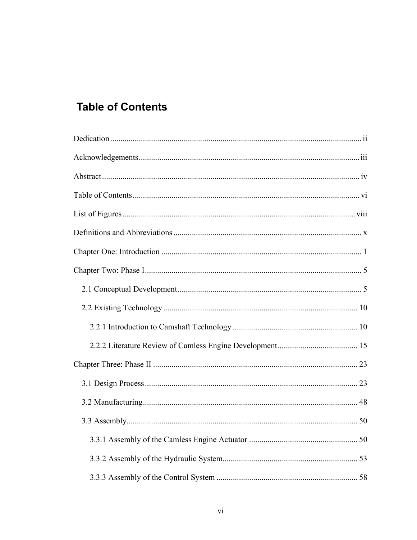# <span id="page-5-0"></span>**Table of Contents**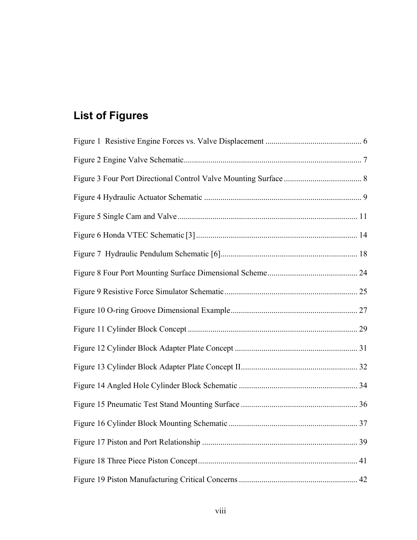# <span id="page-7-0"></span>**List of Figures**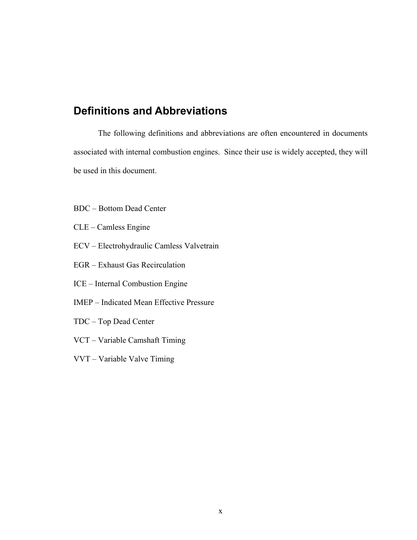# <span id="page-9-0"></span>**Definitions and Abbreviations**

The following definitions and abbreviations are often encountered in documents associated with internal combustion engines. Since their use is widely accepted, they will be used in this document.

- BDC Bottom Dead Center
- CLE Camless Engine
- ECV Electrohydraulic Camless Valvetrain
- EGR Exhaust Gas Recirculation
- ICE Internal Combustion Engine
- IMEP Indicated Mean Effective Pressure
- TDC Top Dead Center
- VCT Variable Camshaft Timing
- VVT Variable Valve Timing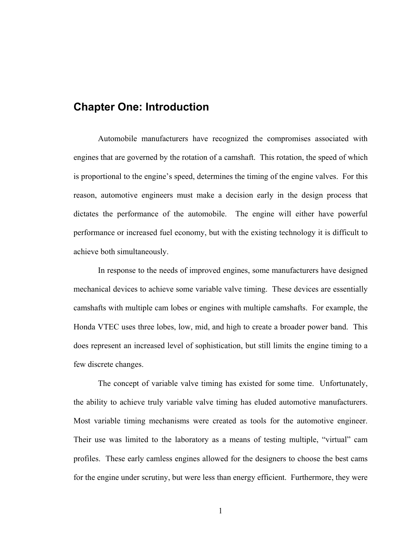# <span id="page-10-0"></span>**Chapter One: Introduction**

Automobile manufacturers have recognized the compromises associated with engines that are governed by the rotation of a camshaft. This rotation, the speed of which is proportional to the engine's speed, determines the timing of the engine valves. For this reason, automotive engineers must make a decision early in the design process that dictates the performance of the automobile. The engine will either have powerful performance or increased fuel economy, but with the existing technology it is difficult to achieve both simultaneously.

In response to the needs of improved engines, some manufacturers have designed mechanical devices to achieve some variable valve timing. These devices are essentially camshafts with multiple cam lobes or engines with multiple camshafts. For example, the Honda VTEC uses three lobes, low, mid, and high to create a broader power band. This does represent an increased level of sophistication, but still limits the engine timing to a few discrete changes.

The concept of variable valve timing has existed for some time. Unfortunately, the ability to achieve truly variable valve timing has eluded automotive manufacturers. Most variable timing mechanisms were created as tools for the automotive engineer. Their use was limited to the laboratory as a means of testing multiple, "virtual" cam profiles. These early camless engines allowed for the designers to choose the best cams for the engine under scrutiny, but were less than energy efficient. Furthermore, they were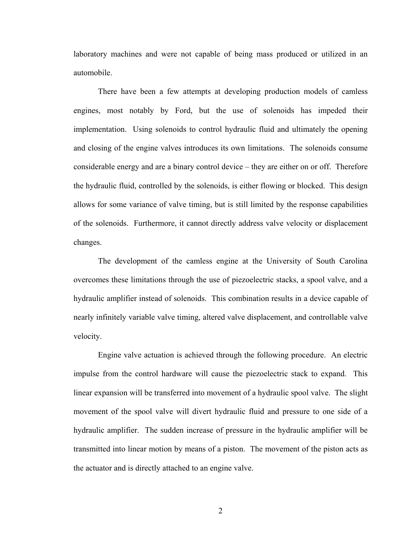laboratory machines and were not capable of being mass produced or utilized in an automobile.

There have been a few attempts at developing production models of camless engines, most notably by Ford, but the use of solenoids has impeded their implementation. Using solenoids to control hydraulic fluid and ultimately the opening and closing of the engine valves introduces its own limitations. The solenoids consume considerable energy and are a binary control device – they are either on or off. Therefore the hydraulic fluid, controlled by the solenoids, is either flowing or blocked. This design allows for some variance of valve timing, but is still limited by the response capabilities of the solenoids. Furthermore, it cannot directly address valve velocity or displacement changes.

The development of the camless engine at the University of South Carolina overcomes these limitations through the use of piezoelectric stacks, a spool valve, and a hydraulic amplifier instead of solenoids. This combination results in a device capable of nearly infinitely variable valve timing, altered valve displacement, and controllable valve velocity.

Engine valve actuation is achieved through the following procedure. An electric impulse from the control hardware will cause the piezoelectric stack to expand. This linear expansion will be transferred into movement of a hydraulic spool valve. The slight movement of the spool valve will divert hydraulic fluid and pressure to one side of a hydraulic amplifier. The sudden increase of pressure in the hydraulic amplifier will be transmitted into linear motion by means of a piston. The movement of the piston acts as the actuator and is directly attached to an engine valve.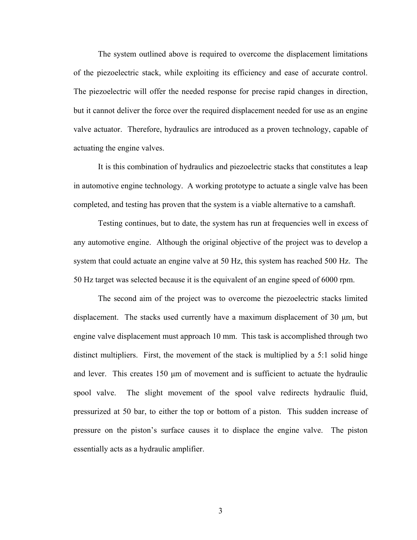The system outlined above is required to overcome the displacement limitations of the piezoelectric stack, while exploiting its efficiency and ease of accurate control. The piezoelectric will offer the needed response for precise rapid changes in direction, but it cannot deliver the force over the required displacement needed for use as an engine valve actuator. Therefore, hydraulics are introduced as a proven technology, capable of actuating the engine valves.

It is this combination of hydraulics and piezoelectric stacks that constitutes a leap in automotive engine technology. A working prototype to actuate a single valve has been completed, and testing has proven that the system is a viable alternative to a camshaft.

Testing continues, but to date, the system has run at frequencies well in excess of any automotive engine. Although the original objective of the project was to develop a system that could actuate an engine valve at 50 Hz, this system has reached 500 Hz. The 50 Hz target was selected because it is the equivalent of an engine speed of 6000 rpm.

The second aim of the project was to overcome the piezoelectric stacks limited displacement. The stacks used currently have a maximum displacement of  $30 \mu m$ , but engine valve displacement must approach 10 mm. This task is accomplished through two distinct multipliers. First, the movement of the stack is multiplied by a 5:1 solid hinge and lever. This creates 150  $\mu$ m of movement and is sufficient to actuate the hydraulic spool valve. The slight movement of the spool valve redirects hydraulic fluid, pressurized at 50 bar, to either the top or bottom of a piston. This sudden increase of pressure on the piston's surface causes it to displace the engine valve. The piston essentially acts as a hydraulic amplifier.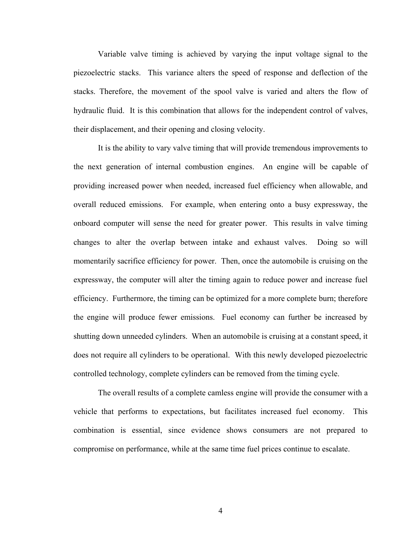Variable valve timing is achieved by varying the input voltage signal to the piezoelectric stacks. This variance alters the speed of response and deflection of the stacks. Therefore, the movement of the spool valve is varied and alters the flow of hydraulic fluid. It is this combination that allows for the independent control of valves, their displacement, and their opening and closing velocity.

It is the ability to vary valve timing that will provide tremendous improvements to the next generation of internal combustion engines. An engine will be capable of providing increased power when needed, increased fuel efficiency when allowable, and overall reduced emissions. For example, when entering onto a busy expressway, the onboard computer will sense the need for greater power. This results in valve timing changes to alter the overlap between intake and exhaust valves. Doing so will momentarily sacrifice efficiency for power. Then, once the automobile is cruising on the expressway, the computer will alter the timing again to reduce power and increase fuel efficiency. Furthermore, the timing can be optimized for a more complete burn; therefore the engine will produce fewer emissions. Fuel economy can further be increased by shutting down unneeded cylinders. When an automobile is cruising at a constant speed, it does not require all cylinders to be operational. With this newly developed piezoelectric controlled technology, complete cylinders can be removed from the timing cycle.

The overall results of a complete camless engine will provide the consumer with a vehicle that performs to expectations, but facilitates increased fuel economy. This combination is essential, since evidence shows consumers are not prepared to compromise on performance, while at the same time fuel prices continue to escalate.

4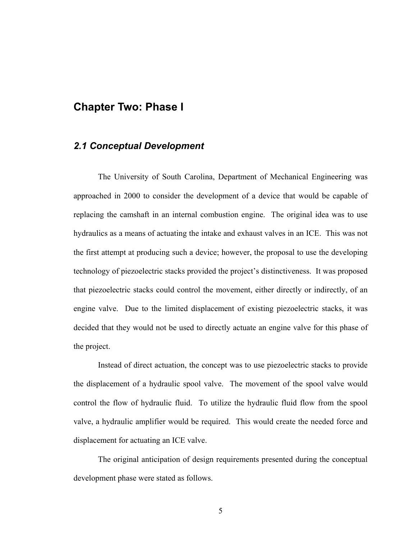## <span id="page-14-0"></span>**Chapter Two: Phase I**

#### *2.1 Conceptual Development*

The University of South Carolina, Department of Mechanical Engineering was approached in 2000 to consider the development of a device that would be capable of replacing the camshaft in an internal combustion engine. The original idea was to use hydraulics as a means of actuating the intake and exhaust valves in an ICE. This was not the first attempt at producing such a device; however, the proposal to use the developing technology of piezoelectric stacks provided the project's distinctiveness. It was proposed that piezoelectric stacks could control the movement, either directly or indirectly, of an engine valve. Due to the limited displacement of existing piezoelectric stacks, it was decided that they would not be used to directly actuate an engine valve for this phase of the project.

Instead of direct actuation, the concept was to use piezoelectric stacks to provide the displacement of a hydraulic spool valve. The movement of the spool valve would control the flow of hydraulic fluid. To utilize the hydraulic fluid flow from the spool valve, a hydraulic amplifier would be required. This would create the needed force and displacement for actuating an ICE valve.

The original anticipation of design requirements presented during the conceptual development phase were stated as follows.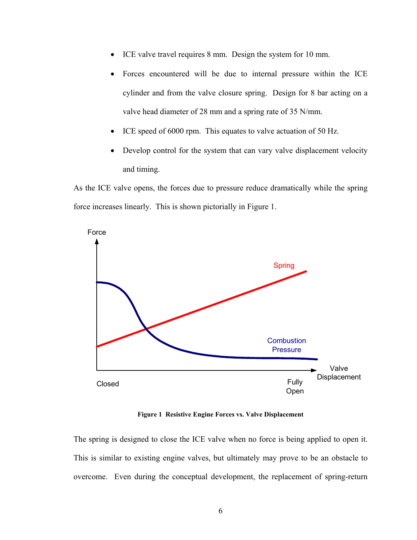- <span id="page-15-0"></span>ICE valve travel requires 8 mm. Design the system for 10 mm.
- Forces encountered will be due to internal pressure within the ICE cylinder and from the valve closure spring. Design for 8 bar acting on a valve head diameter of 28 mm and a spring rate of 35 N/mm.
- ICE speed of 6000 rpm. This equates to valve actuation of 50 Hz.
- Develop control for the system that can vary valve displacement velocity and timing.

As the ICE valve opens, the forces due to pressure reduce dramatically while the spring force increases linearly. This is shown pictorially in Figure 1.



**Figure 1 Resistive Engine Forces vs. Valve Displacement** 

The spring is designed to close the ICE valve when no force is being applied to open it. This is similar to existing engine valves, but ultimately may prove to be an obstacle to overcome. Even during the conceptual development, the replacement of spring-return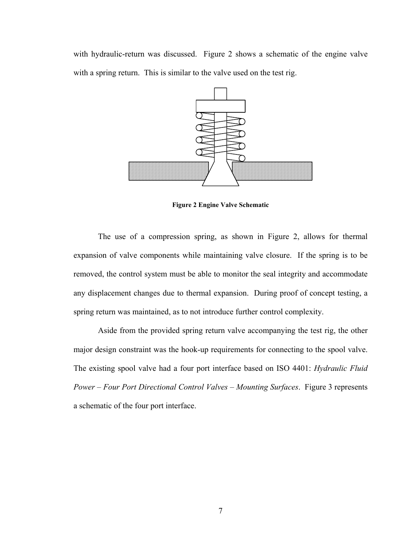<span id="page-16-0"></span>with hydraulic-return was discussed. Figure 2 shows a schematic of the engine valve with a spring return. This is similar to the valve used on the test rig.



**Figure 2 Engine Valve Schematic** 

The use of a compression spring, as shown in Figure 2, allows for thermal expansion of valve components while maintaining valve closure. If the spring is to be removed, the control system must be able to monitor the seal integrity and accommodate any displacement changes due to thermal expansion. During proof of concept testing, a spring return was maintained, as to not introduce further control complexity.

Aside from the provided spring return valve accompanying the test rig, the other major design constraint was the hook-up requirements for connecting to the spool valve. The existing spool valve had a four port interface based on ISO 4401: *Hydraulic Fluid Power – Four Port Directional Control Valves – Mounting Surfaces*. Figure 3 represents a schematic of the four port interface.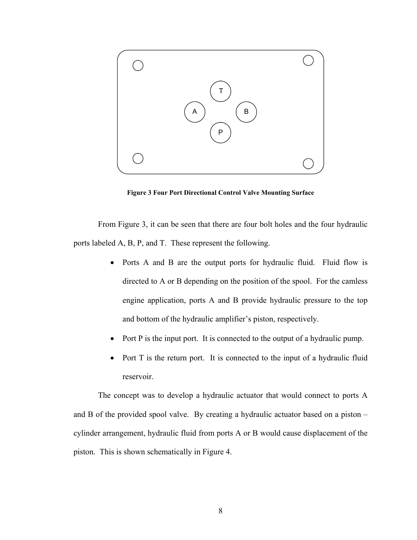<span id="page-17-0"></span>

**Figure 3 Four Port Directional Control Valve Mounting Surface** 

From Figure 3, it can be seen that there are four bolt holes and the four hydraulic ports labeled A, B, P, and T. These represent the following.

- Ports A and B are the output ports for hydraulic fluid. Fluid flow is directed to A or B depending on the position of the spool. For the camless engine application, ports A and B provide hydraulic pressure to the top and bottom of the hydraulic amplifier's piston, respectively.
- Port P is the input port. It is connected to the output of a hydraulic pump.
- Port T is the return port. It is connected to the input of a hydraulic fluid reservoir.

The concept was to develop a hydraulic actuator that would connect to ports A and B of the provided spool valve. By creating a hydraulic actuator based on a piston – cylinder arrangement, hydraulic fluid from ports A or B would cause displacement of the piston. This is shown schematically in Figure 4.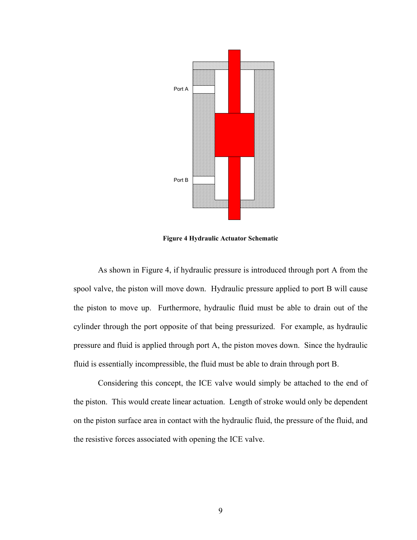<span id="page-18-0"></span>

**Figure 4 Hydraulic Actuator Schematic** 

As shown in Figure 4, if hydraulic pressure is introduced through port A from the spool valve, the piston will move down. Hydraulic pressure applied to port B will cause the piston to move up. Furthermore, hydraulic fluid must be able to drain out of the cylinder through the port opposite of that being pressurized. For example, as hydraulic pressure and fluid is applied through port A, the piston moves down. Since the hydraulic fluid is essentially incompressible, the fluid must be able to drain through port B.

Considering this concept, the ICE valve would simply be attached to the end of the piston. This would create linear actuation. Length of stroke would only be dependent on the piston surface area in contact with the hydraulic fluid, the pressure of the fluid, and the resistive forces associated with opening the ICE valve.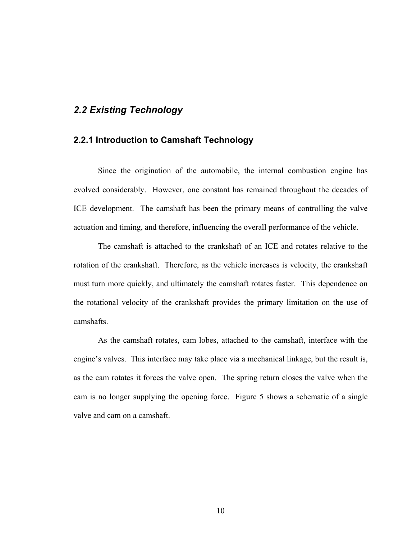## <span id="page-19-0"></span>*2.2 Existing Technology*

#### **2.2.1 Introduction to Camshaft Technology**

Since the origination of the automobile, the internal combustion engine has evolved considerably. However, one constant has remained throughout the decades of ICE development. The camshaft has been the primary means of controlling the valve actuation and timing, and therefore, influencing the overall performance of the vehicle.

The camshaft is attached to the crankshaft of an ICE and rotates relative to the rotation of the crankshaft. Therefore, as the vehicle increases is velocity, the crankshaft must turn more quickly, and ultimately the camshaft rotates faster. This dependence on the rotational velocity of the crankshaft provides the primary limitation on the use of camshafts.

As the camshaft rotates, cam lobes, attached to the camshaft, interface with the engine's valves. This interface may take place via a mechanical linkage, but the result is, as the cam rotates it forces the valve open. The spring return closes the valve when the cam is no longer supplying the opening force. Figure 5 shows a schematic of a single valve and cam on a camshaft.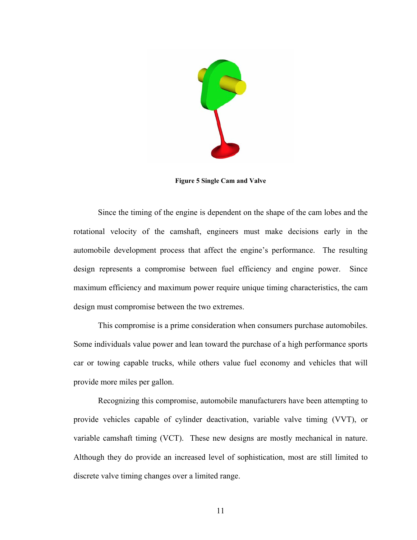<span id="page-20-0"></span>

**Figure 5 Single Cam and Valve** 

Since the timing of the engine is dependent on the shape of the cam lobes and the rotational velocity of the camshaft, engineers must make decisions early in the automobile development process that affect the engine's performance. The resulting design represents a compromise between fuel efficiency and engine power. Since maximum efficiency and maximum power require unique timing characteristics, the cam design must compromise between the two extremes.

This compromise is a prime consideration when consumers purchase automobiles. Some individuals value power and lean toward the purchase of a high performance sports car or towing capable trucks, while others value fuel economy and vehicles that will provide more miles per gallon.

Recognizing this compromise, automobile manufacturers have been attempting to provide vehicles capable of cylinder deactivation, variable valve timing (VVT), or variable camshaft timing (VCT). These new designs are mostly mechanical in nature. Although they do provide an increased level of sophistication, most are still limited to discrete valve timing changes over a limited range.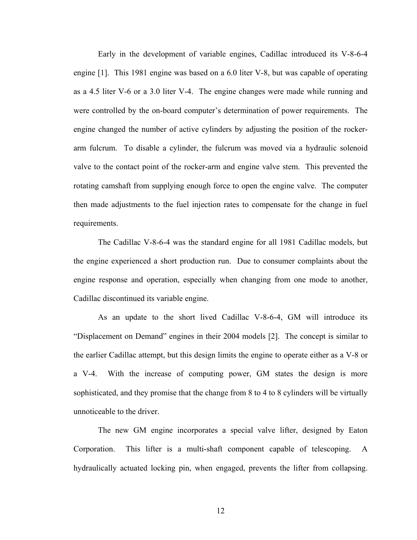Early in the development of variable engines, Cadillac introduced its V-8-6-4 engine [1]. This 1981 engine was based on a 6.0 liter V-8, but was capable of operating as a 4.5 liter V-6 or a 3.0 liter V-4. The engine changes were made while running and were controlled by the on-board computer's determination of power requirements. The engine changed the number of active cylinders by adjusting the position of the rockerarm fulcrum. To disable a cylinder, the fulcrum was moved via a hydraulic solenoid valve to the contact point of the rocker-arm and engine valve stem. This prevented the rotating camshaft from supplying enough force to open the engine valve. The computer then made adjustments to the fuel injection rates to compensate for the change in fuel requirements.

The Cadillac V-8-6-4 was the standard engine for all 1981 Cadillac models, but the engine experienced a short production run. Due to consumer complaints about the engine response and operation, especially when changing from one mode to another, Cadillac discontinued its variable engine.

As an update to the short lived Cadillac V-8-6-4, GM will introduce its "Displacement on Demand" engines in their 2004 models [2]. The concept is similar to the earlier Cadillac attempt, but this design limits the engine to operate either as a V-8 or a V-4. With the increase of computing power, GM states the design is more sophisticated, and they promise that the change from 8 to 4 to 8 cylinders will be virtually unnoticeable to the driver.

The new GM engine incorporates a special valve lifter, designed by Eaton Corporation. This lifter is a multi-shaft component capable of telescoping. A hydraulically actuated locking pin, when engaged, prevents the lifter from collapsing.

12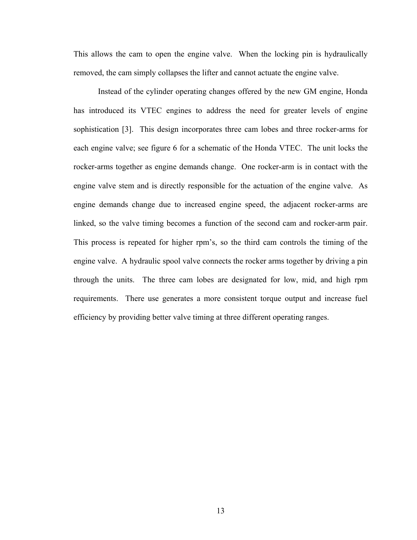This allows the cam to open the engine valve. When the locking pin is hydraulically removed, the cam simply collapses the lifter and cannot actuate the engine valve.

Instead of the cylinder operating changes offered by the new GM engine, Honda has introduced its VTEC engines to address the need for greater levels of engine sophistication [3]. This design incorporates three cam lobes and three rocker-arms for each engine valve; see figure 6 for a schematic of the Honda VTEC. The unit locks the rocker-arms together as engine demands change. One rocker-arm is in contact with the engine valve stem and is directly responsible for the actuation of the engine valve. As engine demands change due to increased engine speed, the adjacent rocker-arms are linked, so the valve timing becomes a function of the second cam and rocker-arm pair. This process is repeated for higher rpm's, so the third cam controls the timing of the engine valve. A hydraulic spool valve connects the rocker arms together by driving a pin through the units. The three cam lobes are designated for low, mid, and high rpm requirements. There use generates a more consistent torque output and increase fuel efficiency by providing better valve timing at three different operating ranges.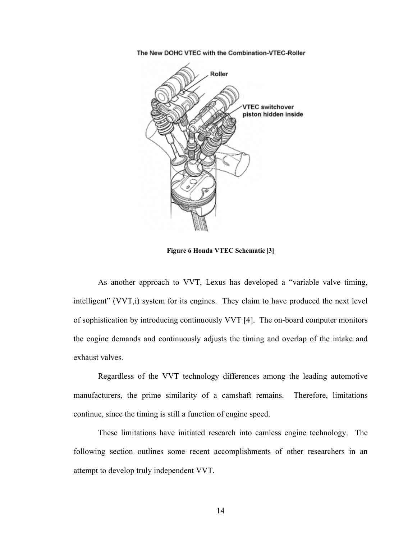<span id="page-23-0"></span>The New DOHC VTEC with the Combination-VTEC-Roller



**Figure 6 Honda VTEC Schematic [3]** 

As another approach to VVT, Lexus has developed a "variable valve timing, intelligent" (VVT,i) system for its engines. They claim to have produced the next level of sophistication by introducing continuously VVT [4]. The on-board computer monitors the engine demands and continuously adjusts the timing and overlap of the intake and exhaust valves.

Regardless of the VVT technology differences among the leading automotive manufacturers, the prime similarity of a camshaft remains. Therefore, limitations continue, since the timing is still a function of engine speed.

These limitations have initiated research into camless engine technology. The following section outlines some recent accomplishments of other researchers in an attempt to develop truly independent VVT.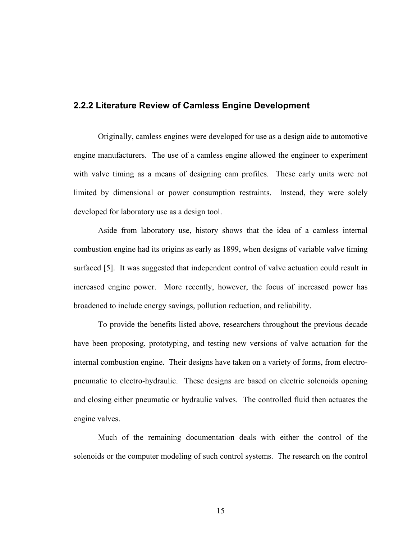#### <span id="page-24-0"></span>**2.2.2 Literature Review of Camless Engine Development**

Originally, camless engines were developed for use as a design aide to automotive engine manufacturers. The use of a camless engine allowed the engineer to experiment with valve timing as a means of designing cam profiles. These early units were not limited by dimensional or power consumption restraints. Instead, they were solely developed for laboratory use as a design tool.

Aside from laboratory use, history shows that the idea of a camless internal combustion engine had its origins as early as 1899, when designs of variable valve timing surfaced [5]. It was suggested that independent control of valve actuation could result in increased engine power. More recently, however, the focus of increased power has broadened to include energy savings, pollution reduction, and reliability.

To provide the benefits listed above, researchers throughout the previous decade have been proposing, prototyping, and testing new versions of valve actuation for the internal combustion engine. Their designs have taken on a variety of forms, from electropneumatic to electro-hydraulic. These designs are based on electric solenoids opening and closing either pneumatic or hydraulic valves. The controlled fluid then actuates the engine valves.

Much of the remaining documentation deals with either the control of the solenoids or the computer modeling of such control systems. The research on the control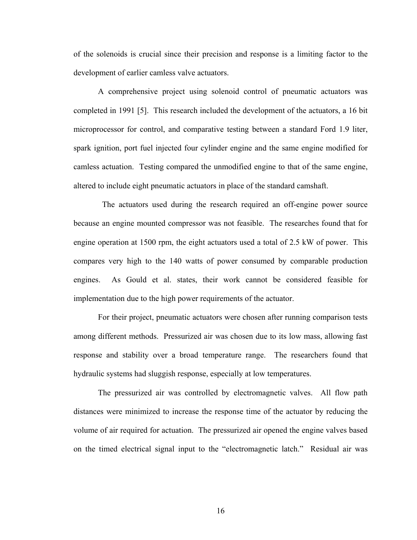of the solenoids is crucial since their precision and response is a limiting factor to the development of earlier camless valve actuators.

A comprehensive project using solenoid control of pneumatic actuators was completed in 1991 [5]. This research included the development of the actuators, a 16 bit microprocessor for control, and comparative testing between a standard Ford 1.9 liter, spark ignition, port fuel injected four cylinder engine and the same engine modified for camless actuation. Testing compared the unmodified engine to that of the same engine, altered to include eight pneumatic actuators in place of the standard camshaft.

The actuators used during the research required an off-engine power source because an engine mounted compressor was not feasible. The researches found that for engine operation at 1500 rpm, the eight actuators used a total of 2.5 kW of power. This compares very high to the 140 watts of power consumed by comparable production engines. As Gould et al. states, their work cannot be considered feasible for implementation due to the high power requirements of the actuator.

For their project, pneumatic actuators were chosen after running comparison tests among different methods. Pressurized air was chosen due to its low mass, allowing fast response and stability over a broad temperature range. The researchers found that hydraulic systems had sluggish response, especially at low temperatures.

The pressurized air was controlled by electromagnetic valves. All flow path distances were minimized to increase the response time of the actuator by reducing the volume of air required for actuation. The pressurized air opened the engine valves based on the timed electrical signal input to the "electromagnetic latch." Residual air was

16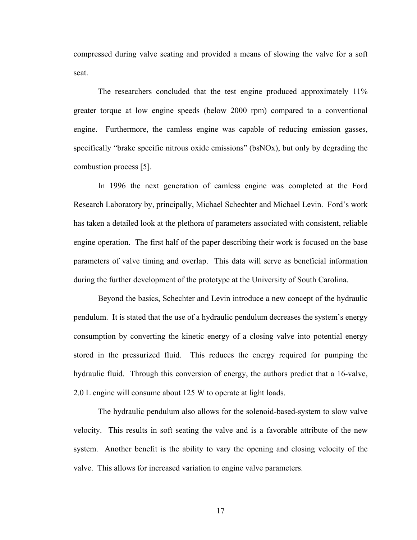compressed during valve seating and provided a means of slowing the valve for a soft seat.

The researchers concluded that the test engine produced approximately 11% greater torque at low engine speeds (below 2000 rpm) compared to a conventional engine. Furthermore, the camless engine was capable of reducing emission gasses, specifically "brake specific nitrous oxide emissions" (bsNOx), but only by degrading the combustion process [5].

In 1996 the next generation of camless engine was completed at the Ford Research Laboratory by, principally, Michael Schechter and Michael Levin. Ford's work has taken a detailed look at the plethora of parameters associated with consistent, reliable engine operation. The first half of the paper describing their work is focused on the base parameters of valve timing and overlap. This data will serve as beneficial information during the further development of the prototype at the University of South Carolina.

Beyond the basics, Schechter and Levin introduce a new concept of the hydraulic pendulum. It is stated that the use of a hydraulic pendulum decreases the system's energy consumption by converting the kinetic energy of a closing valve into potential energy stored in the pressurized fluid. This reduces the energy required for pumping the hydraulic fluid. Through this conversion of energy, the authors predict that a 16-valve, 2.0 L engine will consume about 125 W to operate at light loads.

The hydraulic pendulum also allows for the solenoid-based-system to slow valve velocity. This results in soft seating the valve and is a favorable attribute of the new system. Another benefit is the ability to vary the opening and closing velocity of the valve. This allows for increased variation to engine valve parameters.

17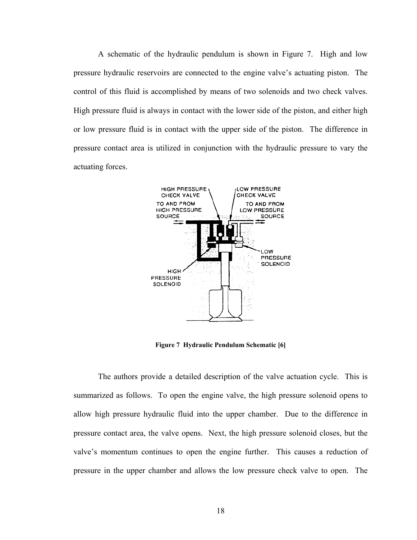<span id="page-27-0"></span>A schematic of the hydraulic pendulum is shown in Figure 7. High and low pressure hydraulic reservoirs are connected to the engine valve's actuating piston. The control of this fluid is accomplished by means of two solenoids and two check valves. High pressure fluid is always in contact with the lower side of the piston, and either high or low pressure fluid is in contact with the upper side of the piston. The difference in pressure contact area is utilized in conjunction with the hydraulic pressure to vary the actuating forces.



**Figure 7 Hydraulic Pendulum Schematic [6]** 

The authors provide a detailed description of the valve actuation cycle. This is summarized as follows. To open the engine valve, the high pressure solenoid opens to allow high pressure hydraulic fluid into the upper chamber. Due to the difference in pressure contact area, the valve opens. Next, the high pressure solenoid closes, but the valve's momentum continues to open the engine further. This causes a reduction of pressure in the upper chamber and allows the low pressure check valve to open. The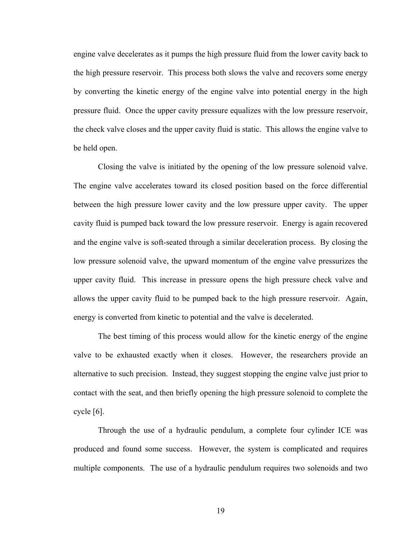engine valve decelerates as it pumps the high pressure fluid from the lower cavity back to the high pressure reservoir. This process both slows the valve and recovers some energy by converting the kinetic energy of the engine valve into potential energy in the high pressure fluid. Once the upper cavity pressure equalizes with the low pressure reservoir, the check valve closes and the upper cavity fluid is static. This allows the engine valve to be held open.

Closing the valve is initiated by the opening of the low pressure solenoid valve. The engine valve accelerates toward its closed position based on the force differential between the high pressure lower cavity and the low pressure upper cavity. The upper cavity fluid is pumped back toward the low pressure reservoir. Energy is again recovered and the engine valve is soft-seated through a similar deceleration process. By closing the low pressure solenoid valve, the upward momentum of the engine valve pressurizes the upper cavity fluid. This increase in pressure opens the high pressure check valve and allows the upper cavity fluid to be pumped back to the high pressure reservoir. Again, energy is converted from kinetic to potential and the valve is decelerated.

The best timing of this process would allow for the kinetic energy of the engine valve to be exhausted exactly when it closes. However, the researchers provide an alternative to such precision. Instead, they suggest stopping the engine valve just prior to contact with the seat, and then briefly opening the high pressure solenoid to complete the cycle [6].

Through the use of a hydraulic pendulum, a complete four cylinder ICE was produced and found some success. However, the system is complicated and requires multiple components. The use of a hydraulic pendulum requires two solenoids and two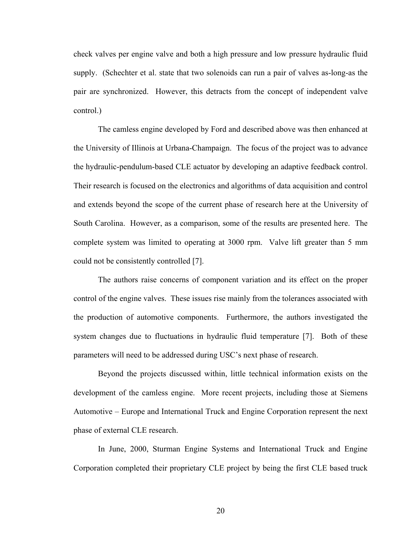check valves per engine valve and both a high pressure and low pressure hydraulic fluid supply. (Schechter et al. state that two solenoids can run a pair of valves as-long-as the pair are synchronized. However, this detracts from the concept of independent valve control.)

The camless engine developed by Ford and described above was then enhanced at the University of Illinois at Urbana-Champaign. The focus of the project was to advance the hydraulic-pendulum-based CLE actuator by developing an adaptive feedback control. Their research is focused on the electronics and algorithms of data acquisition and control and extends beyond the scope of the current phase of research here at the University of South Carolina. However, as a comparison, some of the results are presented here. The complete system was limited to operating at 3000 rpm. Valve lift greater than 5 mm could not be consistently controlled [7].

The authors raise concerns of component variation and its effect on the proper control of the engine valves. These issues rise mainly from the tolerances associated with the production of automotive components. Furthermore, the authors investigated the system changes due to fluctuations in hydraulic fluid temperature [7]. Both of these parameters will need to be addressed during USC's next phase of research.

Beyond the projects discussed within, little technical information exists on the development of the camless engine. More recent projects, including those at Siemens Automotive – Europe and International Truck and Engine Corporation represent the next phase of external CLE research.

In June, 2000, Sturman Engine Systems and International Truck and Engine Corporation completed their proprietary CLE project by being the first CLE based truck

20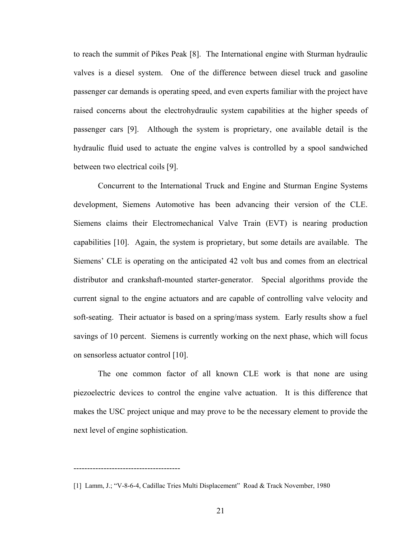to reach the summit of Pikes Peak [8]. The International engine with Sturman hydraulic valves is a diesel system. One of the difference between diesel truck and gasoline passenger car demands is operating speed, and even experts familiar with the project have raised concerns about the electrohydraulic system capabilities at the higher speeds of passenger cars [9]. Although the system is proprietary, one available detail is the hydraulic fluid used to actuate the engine valves is controlled by a spool sandwiched between two electrical coils [9].

Concurrent to the International Truck and Engine and Sturman Engine Systems development, Siemens Automotive has been advancing their version of the CLE. Siemens claims their Electromechanical Valve Train (EVT) is nearing production capabilities [10]. Again, the system is proprietary, but some details are available. The Siemens' CLE is operating on the anticipated 42 volt bus and comes from an electrical distributor and crankshaft-mounted starter-generator. Special algorithms provide the current signal to the engine actuators and are capable of controlling valve velocity and soft-seating. Their actuator is based on a spring/mass system. Early results show a fuel savings of 10 percent. Siemens is currently working on the next phase, which will focus on sensorless actuator control [10].

The one common factor of all known CLE work is that none are using piezoelectric devices to control the engine valve actuation. It is this difference that makes the USC project unique and may prove to be the necessary element to provide the next level of engine sophistication.

---------------------------------------

<sup>[1]</sup> Lamm, J.; "V-8-6-4, Cadillac Tries Multi Displacement" Road & Track November, 1980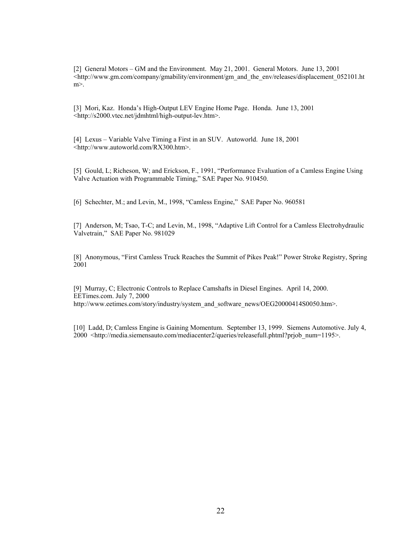[2] General Motors – GM and the Environment. May 21, 2001. General Motors. June 13, 2001 <http://www.gm.com/company/gmability/environment/gm\_and\_the\_env/releases/displacement\_052101.ht m>.

[3] Mori, Kaz. Honda's High-Output LEV Engine Home Page. Honda. June 13, 2001 <http://s2000.vtec.net/jdmhtml/high-output-lev.htm>.

[4] Lexus – Variable Valve Timing a First in an SUV. Autoworld. June 18, 2001 <http://www.autoworld.com/RX300.htm>.

[5] Gould, L; Richeson, W; and Erickson, F., 1991, "Performance Evaluation of a Camless Engine Using Valve Actuation with Programmable Timing," SAE Paper No. 910450.

[6] Schechter, M.; and Levin, M., 1998, "Camless Engine," SAE Paper No. 960581

[7] Anderson, M; Tsao, T-C; and Levin, M., 1998, "Adaptive Lift Control for a Camless Electrohydraulic Valvetrain," SAE Paper No. 981029

[8] Anonymous, "First Camless Truck Reaches the Summit of Pikes Peak!" Power Stroke Registry, Spring 2001

[9] Murray, C; Electronic Controls to Replace Camshafts in Diesel Engines. April 14, 2000. EETimes.com. July 7, 2000 http://www.eetimes.com/story/industry/system\_and\_software\_news/OEG20000414S0050.htm>.

[10] Ladd, D; Camless Engine is Gaining Momentum. September 13, 1999. Siemens Automotive. July 4, 2000 <http://media.siemensauto.com/mediacenter2/queries/releasefull.phtml?prjob\_num=1195>.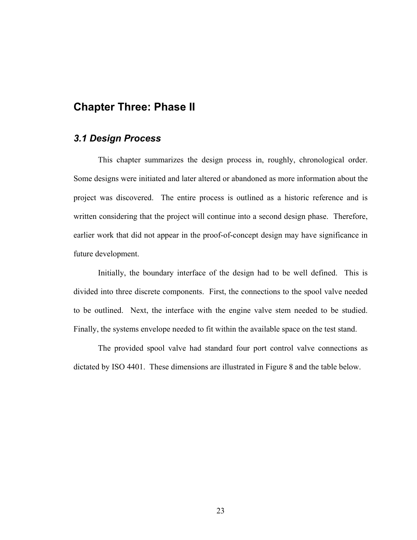## <span id="page-32-0"></span>**Chapter Three: Phase II**

#### *3.1 Design Process*

This chapter summarizes the design process in, roughly, chronological order. Some designs were initiated and later altered or abandoned as more information about the project was discovered. The entire process is outlined as a historic reference and is written considering that the project will continue into a second design phase. Therefore, earlier work that did not appear in the proof-of-concept design may have significance in future development.

Initially, the boundary interface of the design had to be well defined. This is divided into three discrete components. First, the connections to the spool valve needed to be outlined. Next, the interface with the engine valve stem needed to be studied. Finally, the systems envelope needed to fit within the available space on the test stand.

The provided spool valve had standard four port control valve connections as dictated by ISO 4401. These dimensions are illustrated in Figure 8 and the table below.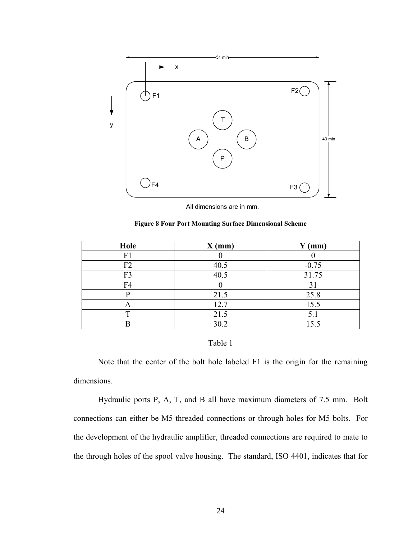<span id="page-33-0"></span>

All dimensions are in mm.

|  |  |  |  | <b>Figure 8 Four Port Mounting Surface Dimensional Scheme</b> |
|--|--|--|--|---------------------------------------------------------------|
|  |  |  |  |                                                               |

| Hole           | $X$ (mm) | $Y$ (mm) |
|----------------|----------|----------|
| F1             |          |          |
| F2             | 40.5     | $-0.75$  |
| F <sub>3</sub> | 40.5     | 31.75    |
| F4             |          | 31       |
|                | 21.5     | 25.8     |
| $\bigwedge$    | 12.7     | 15.5     |
|                | 21.5     | 5.1      |
|                | 30.2     | 15.5     |

#### Table 1

Note that the center of the bolt hole labeled F1 is the origin for the remaining dimensions.

Hydraulic ports P, A, T, and B all have maximum diameters of 7.5 mm. Bolt connections can either be M5 threaded connections or through holes for M5 bolts. For the development of the hydraulic amplifier, threaded connections are required to mate to the through holes of the spool valve housing. The standard, ISO 4401, indicates that for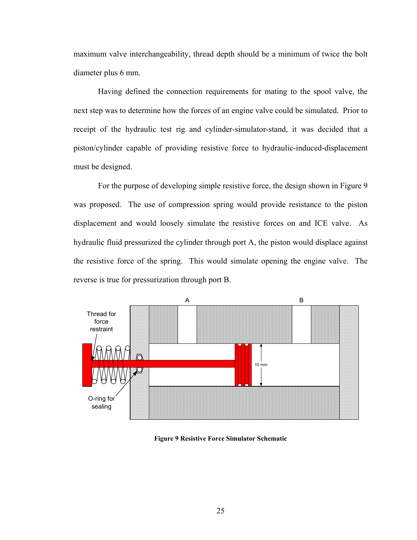<span id="page-34-0"></span>maximum valve interchangeability, thread depth should be a minimum of twice the bolt diameter plus 6 mm.

Having defined the connection requirements for mating to the spool valve, the next step was to determine how the forces of an engine valve could be simulated. Prior to receipt of the hydraulic test rig and cylinder-simulator-stand, it was decided that a piston/cylinder capable of providing resistive force to hydraulic-induced-displacement must be designed.

For the purpose of developing simple resistive force, the design shown in Figure 9 was proposed. The use of compression spring would provide resistance to the piston displacement and would loosely simulate the resistive forces on and ICE valve. As hydraulic fluid pressurized the cylinder through port A, the piston would displace against the resistive force of the spring. This would simulate opening the engine valve. The reverse is true for pressurization through port B.



**Figure 9 Resistive Force Simulator Schematic**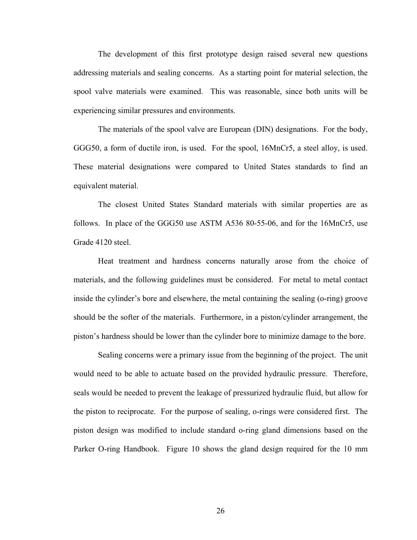The development of this first prototype design raised several new questions addressing materials and sealing concerns. As a starting point for material selection, the spool valve materials were examined. This was reasonable, since both units will be experiencing similar pressures and environments.

The materials of the spool valve are European (DIN) designations. For the body, GGG50, a form of ductile iron, is used. For the spool, 16MnCr5, a steel alloy, is used. These material designations were compared to United States standards to find an equivalent material.

The closest United States Standard materials with similar properties are as follows. In place of the GGG50 use ASTM A536 80-55-06, and for the 16MnCr5, use Grade 4120 steel.

Heat treatment and hardness concerns naturally arose from the choice of materials, and the following guidelines must be considered. For metal to metal contact inside the cylinder's bore and elsewhere, the metal containing the sealing (o-ring) groove should be the softer of the materials. Furthermore, in a piston/cylinder arrangement, the piston's hardness should be lower than the cylinder bore to minimize damage to the bore.

Sealing concerns were a primary issue from the beginning of the project. The unit would need to be able to actuate based on the provided hydraulic pressure. Therefore, seals would be needed to prevent the leakage of pressurized hydraulic fluid, but allow for the piston to reciprocate. For the purpose of sealing, o-rings were considered first. The piston design was modified to include standard o-ring gland dimensions based on the Parker O-ring Handbook. Figure 10 shows the gland design required for the 10 mm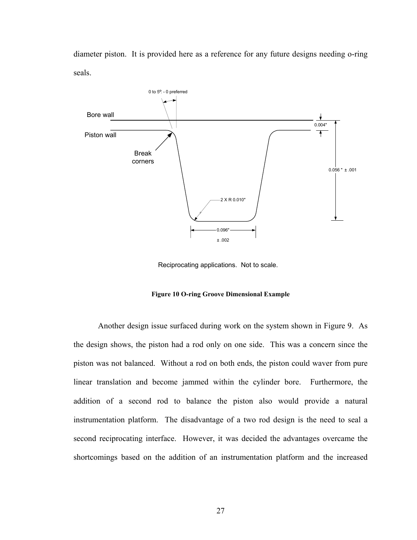diameter piston. It is provided here as a reference for any future designs needing o-ring seals.



Reciprocating applications. Not to scale.

**Figure 10 O-ring Groove Dimensional Example** 

Another design issue surfaced during work on the system shown in Figure 9. As the design shows, the piston had a rod only on one side. This was a concern since the piston was not balanced. Without a rod on both ends, the piston could waver from pure linear translation and become jammed within the cylinder bore. Furthermore, the addition of a second rod to balance the piston also would provide a natural instrumentation platform. The disadvantage of a two rod design is the need to seal a second reciprocating interface. However, it was decided the advantages overcame the shortcomings based on the addition of an instrumentation platform and the increased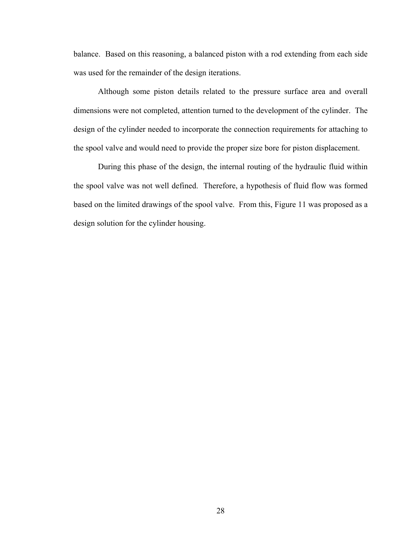balance. Based on this reasoning, a balanced piston with a rod extending from each side was used for the remainder of the design iterations.

Although some piston details related to the pressure surface area and overall dimensions were not completed, attention turned to the development of the cylinder. The design of the cylinder needed to incorporate the connection requirements for attaching to the spool valve and would need to provide the proper size bore for piston displacement.

During this phase of the design, the internal routing of the hydraulic fluid within the spool valve was not well defined. Therefore, a hypothesis of fluid flow was formed based on the limited drawings of the spool valve. From this, Figure 11 was proposed as a design solution for the cylinder housing.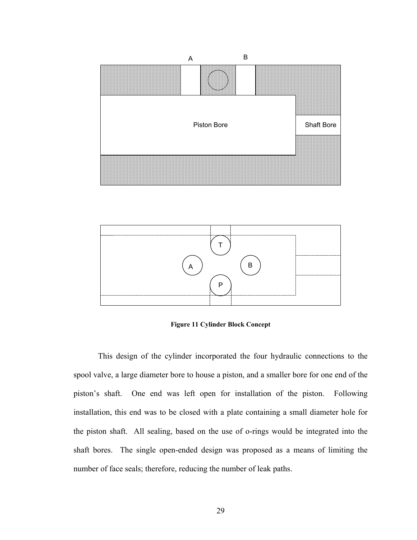



**Figure 11 Cylinder Block Concept** 

This design of the cylinder incorporated the four hydraulic connections to the spool valve, a large diameter bore to house a piston, and a smaller bore for one end of the piston's shaft. One end was left open for installation of the piston. Following installation, this end was to be closed with a plate containing a small diameter hole for the piston shaft. All sealing, based on the use of o-rings would be integrated into the shaft bores. The single open-ended design was proposed as a means of limiting the number of face seals; therefore, reducing the number of leak paths.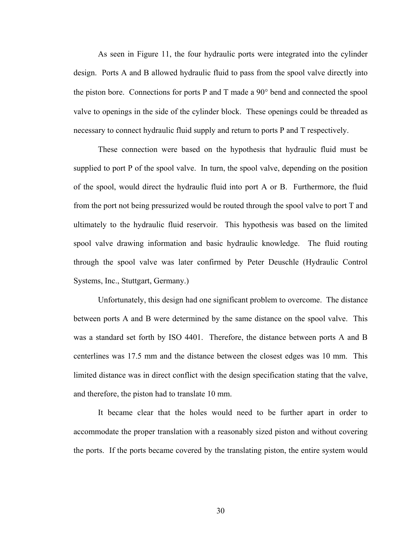As seen in Figure 11, the four hydraulic ports were integrated into the cylinder design. Ports A and B allowed hydraulic fluid to pass from the spool valve directly into the piston bore. Connections for ports P and T made a 90° bend and connected the spool valve to openings in the side of the cylinder block. These openings could be threaded as necessary to connect hydraulic fluid supply and return to ports P and T respectively.

These connection were based on the hypothesis that hydraulic fluid must be supplied to port P of the spool valve. In turn, the spool valve, depending on the position of the spool, would direct the hydraulic fluid into port A or B. Furthermore, the fluid from the port not being pressurized would be routed through the spool valve to port T and ultimately to the hydraulic fluid reservoir. This hypothesis was based on the limited spool valve drawing information and basic hydraulic knowledge. The fluid routing through the spool valve was later confirmed by Peter Deuschle (Hydraulic Control Systems, Inc., Stuttgart, Germany.)

Unfortunately, this design had one significant problem to overcome. The distance between ports A and B were determined by the same distance on the spool valve. This was a standard set forth by ISO 4401. Therefore, the distance between ports A and B centerlines was 17.5 mm and the distance between the closest edges was 10 mm. This limited distance was in direct conflict with the design specification stating that the valve, and therefore, the piston had to translate 10 mm.

It became clear that the holes would need to be further apart in order to accommodate the proper translation with a reasonably sized piston and without covering the ports. If the ports became covered by the translating piston, the entire system would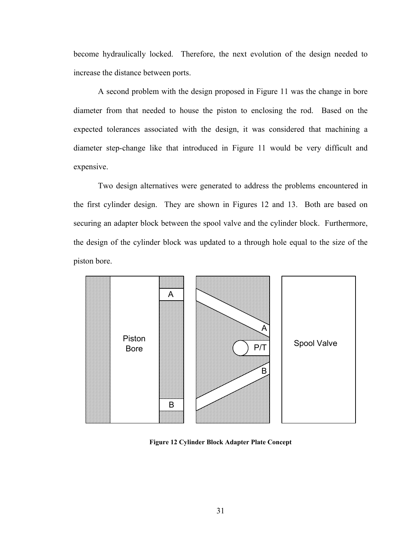become hydraulically locked. Therefore, the next evolution of the design needed to increase the distance between ports.

A second problem with the design proposed in Figure 11 was the change in bore diameter from that needed to house the piston to enclosing the rod. Based on the expected tolerances associated with the design, it was considered that machining a diameter step-change like that introduced in Figure 11 would be very difficult and expensive.

Two design alternatives were generated to address the problems encountered in the first cylinder design. They are shown in Figures 12 and 13. Both are based on securing an adapter block between the spool valve and the cylinder block. Furthermore, the design of the cylinder block was updated to a through hole equal to the size of the piston bore.



**Figure 12 Cylinder Block Adapter Plate Concept**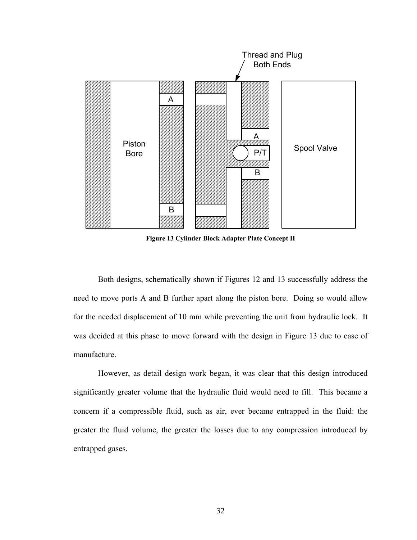

**Figure 13 Cylinder Block Adapter Plate Concept II** 

Both designs, schematically shown if Figures 12 and 13 successfully address the need to move ports A and B further apart along the piston bore. Doing so would allow for the needed displacement of 10 mm while preventing the unit from hydraulic lock. It was decided at this phase to move forward with the design in Figure 13 due to ease of manufacture.

However, as detail design work began, it was clear that this design introduced significantly greater volume that the hydraulic fluid would need to fill. This became a concern if a compressible fluid, such as air, ever became entrapped in the fluid: the greater the fluid volume, the greater the losses due to any compression introduced by entrapped gases.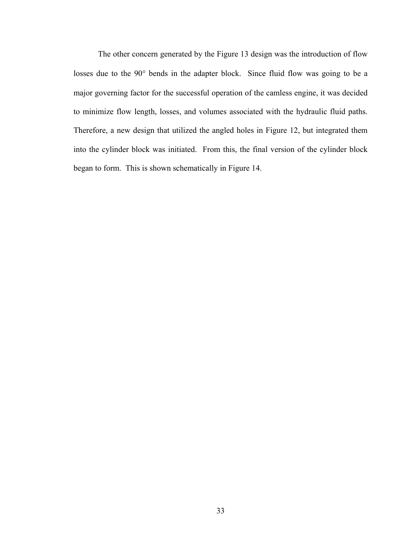The other concern generated by the Figure 13 design was the introduction of flow losses due to the 90° bends in the adapter block. Since fluid flow was going to be a major governing factor for the successful operation of the camless engine, it was decided to minimize flow length, losses, and volumes associated with the hydraulic fluid paths. Therefore, a new design that utilized the angled holes in Figure 12, but integrated them into the cylinder block was initiated. From this, the final version of the cylinder block began to form. This is shown schematically in Figure 14.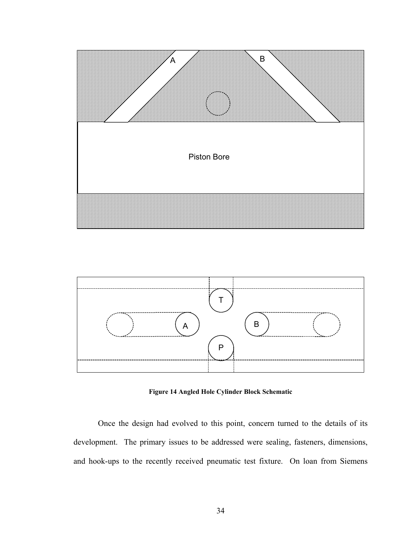



**Figure 14 Angled Hole Cylinder Block Schematic** 

Once the design had evolved to this point, concern turned to the details of its development. The primary issues to be addressed were sealing, fasteners, dimensions, and hook-ups to the recently received pneumatic test fixture. On loan from Siemens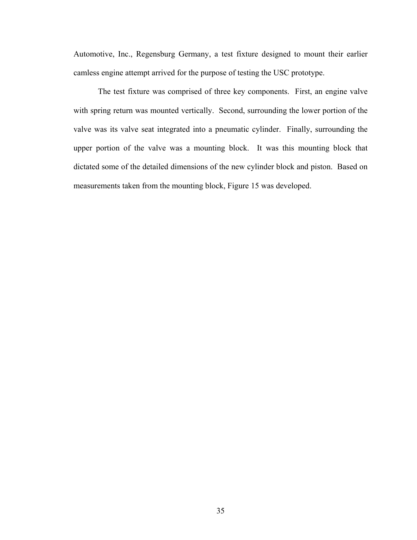Automotive, Inc., Regensburg Germany, a test fixture designed to mount their earlier camless engine attempt arrived for the purpose of testing the USC prototype.

The test fixture was comprised of three key components. First, an engine valve with spring return was mounted vertically. Second, surrounding the lower portion of the valve was its valve seat integrated into a pneumatic cylinder. Finally, surrounding the upper portion of the valve was a mounting block. It was this mounting block that dictated some of the detailed dimensions of the new cylinder block and piston. Based on measurements taken from the mounting block, Figure 15 was developed.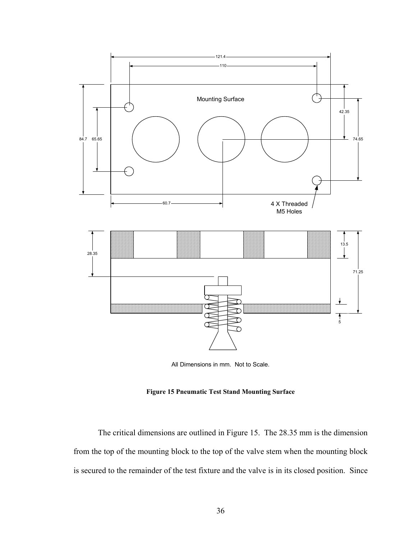

All Dimensions in mm. Not to Scale.

**Figure 15 Pneumatic Test Stand Mounting Surface** 

The critical dimensions are outlined in Figure 15. The 28.35 mm is the dimension from the top of the mounting block to the top of the valve stem when the mounting block is secured to the remainder of the test fixture and the valve is in its closed position. Since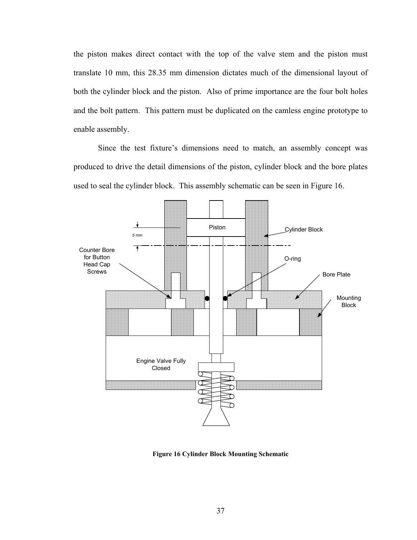the piston makes direct contact with the top of the valve stem and the piston must translate 10 mm, this 28.35 mm dimension dictates much of the dimensional layout of both the cylinder block and the piston. Also of prime importance are the four bolt holes and the bolt pattern. This pattern must be duplicated on the camless engine prototype to enable assembly.

Since the test fixture's dimensions need to match, an assembly concept was produced to drive the detail dimensions of the piston, cylinder block and the bore plates used to seal the cylinder block. This assembly schematic can be seen in Figure 16.



**Figure 16 Cylinder Block Mounting Schematic**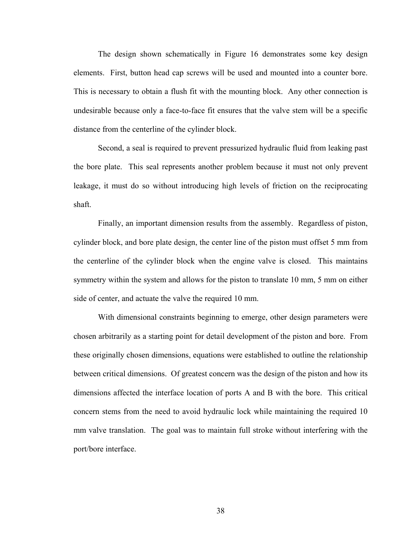The design shown schematically in Figure 16 demonstrates some key design elements. First, button head cap screws will be used and mounted into a counter bore. This is necessary to obtain a flush fit with the mounting block. Any other connection is undesirable because only a face-to-face fit ensures that the valve stem will be a specific distance from the centerline of the cylinder block.

Second, a seal is required to prevent pressurized hydraulic fluid from leaking past the bore plate. This seal represents another problem because it must not only prevent leakage, it must do so without introducing high levels of friction on the reciprocating shaft.

Finally, an important dimension results from the assembly. Regardless of piston, cylinder block, and bore plate design, the center line of the piston must offset 5 mm from the centerline of the cylinder block when the engine valve is closed. This maintains symmetry within the system and allows for the piston to translate 10 mm, 5 mm on either side of center, and actuate the valve the required 10 mm.

With dimensional constraints beginning to emerge, other design parameters were chosen arbitrarily as a starting point for detail development of the piston and bore. From these originally chosen dimensions, equations were established to outline the relationship between critical dimensions. Of greatest concern was the design of the piston and how its dimensions affected the interface location of ports A and B with the bore. This critical concern stems from the need to avoid hydraulic lock while maintaining the required 10 mm valve translation. The goal was to maintain full stroke without interfering with the port/bore interface.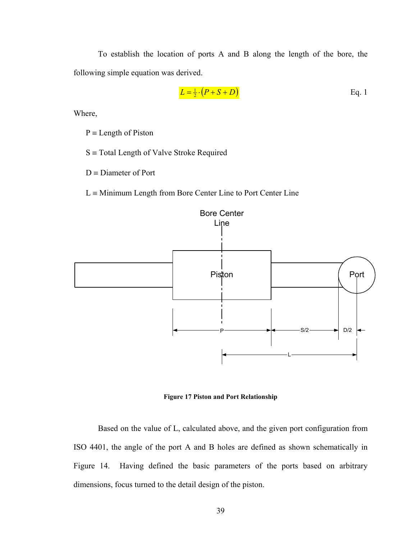To establish the location of ports A and B along the length of the bore, the following simple equation was derived.

$$
L = \frac{1}{2} \cdot (P + S + D)
$$
 Eq. 1

Where,

 $P = Length of Piston$ 

 $S \equiv$  Total Length of Valve Stroke Required

 $D =$ Diameter of Port

 $L \equiv$  Minimum Length from Bore Center Line to Port Center Line



**Figure 17 Piston and Port Relationship**

Based on the value of L, calculated above, and the given port configuration from ISO 4401, the angle of the port A and B holes are defined as shown schematically in Figure 14. Having defined the basic parameters of the ports based on arbitrary dimensions, focus turned to the detail design of the piston.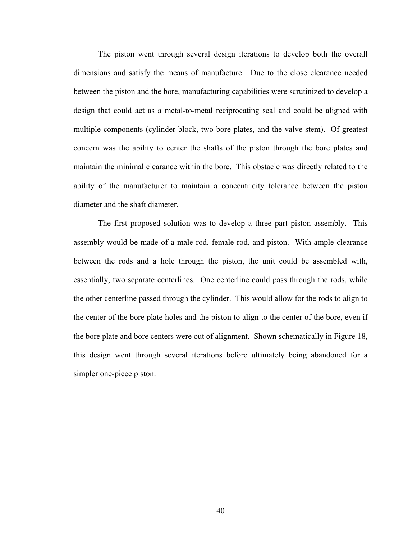The piston went through several design iterations to develop both the overall dimensions and satisfy the means of manufacture. Due to the close clearance needed between the piston and the bore, manufacturing capabilities were scrutinized to develop a design that could act as a metal-to-metal reciprocating seal and could be aligned with multiple components (cylinder block, two bore plates, and the valve stem). Of greatest concern was the ability to center the shafts of the piston through the bore plates and maintain the minimal clearance within the bore. This obstacle was directly related to the ability of the manufacturer to maintain a concentricity tolerance between the piston diameter and the shaft diameter.

The first proposed solution was to develop a three part piston assembly. This assembly would be made of a male rod, female rod, and piston. With ample clearance between the rods and a hole through the piston, the unit could be assembled with, essentially, two separate centerlines. One centerline could pass through the rods, while the other centerline passed through the cylinder. This would allow for the rods to align to the center of the bore plate holes and the piston to align to the center of the bore, even if the bore plate and bore centers were out of alignment. Shown schematically in Figure 18, this design went through several iterations before ultimately being abandoned for a simpler one-piece piston.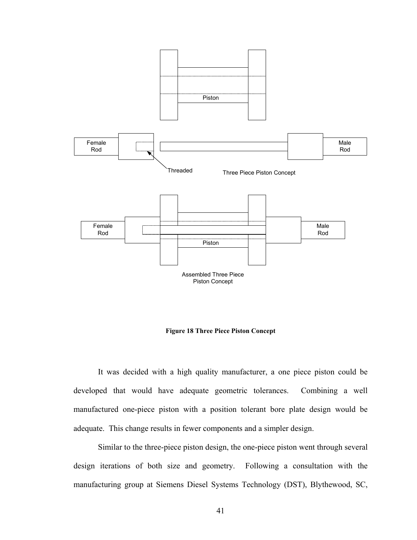

**Figure 18 Three Piece Piston Concept** 

It was decided with a high quality manufacturer, a one piece piston could be developed that would have adequate geometric tolerances. Combining a well manufactured one-piece piston with a position tolerant bore plate design would be adequate. This change results in fewer components and a simpler design.

Similar to the three-piece piston design, the one-piece piston went through several design iterations of both size and geometry. Following a consultation with the manufacturing group at Siemens Diesel Systems Technology (DST), Blythewood, SC,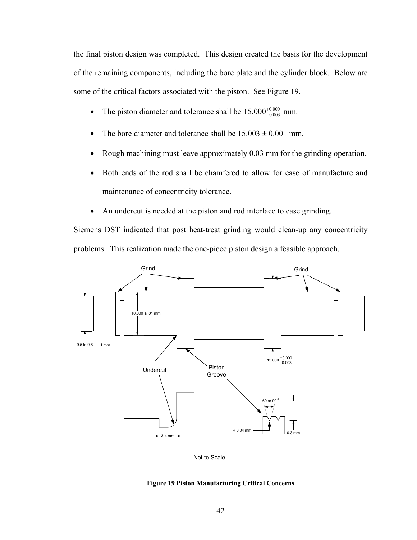the final piston design was completed. This design created the basis for the development of the remaining components, including the bore plate and the cylinder block. Below are some of the critical factors associated with the piston. See Figure 19.

- The piston diameter and tolerance shall be  $15.000^{+0.000}_{-0.003}$  mm.
- The bore diameter and tolerance shall be  $15.003 \pm 0.001$  mm.
- Rough machining must leave approximately 0.03 mm for the grinding operation.
- Both ends of the rod shall be chamfered to allow for ease of manufacture and maintenance of concentricity tolerance.
- An undercut is needed at the piston and rod interface to ease grinding.

Siemens DST indicated that post heat-treat grinding would clean-up any concentricity problems. This realization made the one-piece piston design a feasible approach.



Not to Scale

#### **Figure 19 Piston Manufacturing Critical Concerns**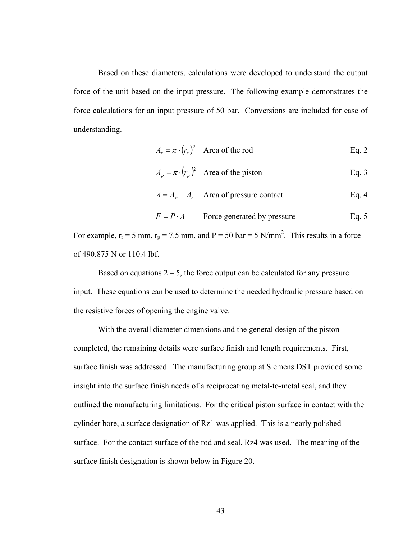Based on these diameters, calculations were developed to understand the output force of the unit based on the input pressure. The following example demonstrates the force calculations for an input pressure of 50 bar. Conversions are included for ease of understanding.

$$
A_r = \pi \cdot (r_r)^2
$$
 Area of the rod Eq. 2

$$
A_p = \pi \cdot (r_p)^2
$$
 Area of the piston Eq. 3

$$
A = A_p - A_r
$$
 Area of pressure contact Eq. 4

$$
F = P \cdot A
$$
 Force generated by pressure Eq. 5

For example,  $r_r = 5$  mm,  $r_p = 7.5$  mm, and  $P = 50$  bar = 5 N/mm<sup>2</sup>. This results in a force of 490.875 N or 110.4 lbf.

Based on equations  $2 - 5$ , the force output can be calculated for any pressure input. These equations can be used to determine the needed hydraulic pressure based on the resistive forces of opening the engine valve.

With the overall diameter dimensions and the general design of the piston completed, the remaining details were surface finish and length requirements. First, surface finish was addressed. The manufacturing group at Siemens DST provided some insight into the surface finish needs of a reciprocating metal-to-metal seal, and they outlined the manufacturing limitations. For the critical piston surface in contact with the cylinder bore, a surface designation of Rz1 was applied. This is a nearly polished surface. For the contact surface of the rod and seal, Rz4 was used. The meaning of the surface finish designation is shown below in Figure 20.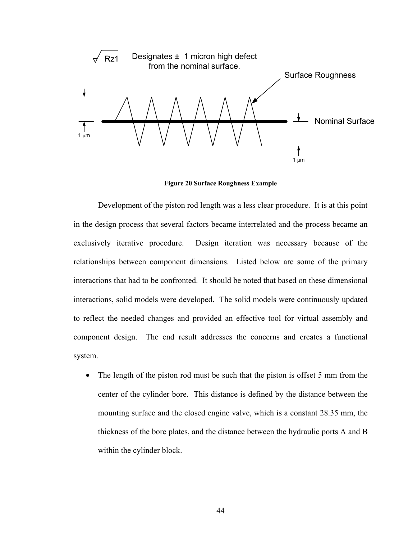

**Figure 20 Surface Roughness Example** 

Development of the piston rod length was a less clear procedure. It is at this point in the design process that several factors became interrelated and the process became an exclusively iterative procedure. Design iteration was necessary because of the relationships between component dimensions. Listed below are some of the primary interactions that had to be confronted. It should be noted that based on these dimensional interactions, solid models were developed. The solid models were continuously updated to reflect the needed changes and provided an effective tool for virtual assembly and component design. The end result addresses the concerns and creates a functional system.

• The length of the piston rod must be such that the piston is offset 5 mm from the center of the cylinder bore. This distance is defined by the distance between the mounting surface and the closed engine valve, which is a constant 28.35 mm, the thickness of the bore plates, and the distance between the hydraulic ports A and B within the cylinder block.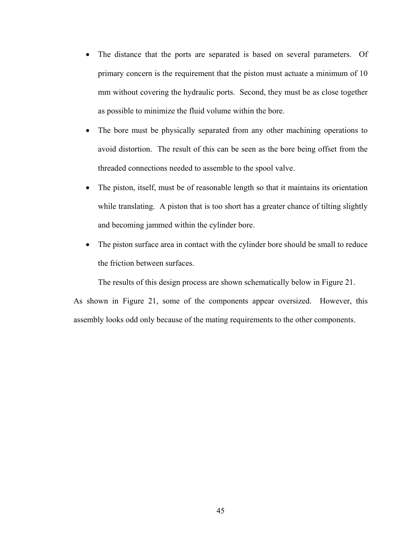- The distance that the ports are separated is based on several parameters. Of primary concern is the requirement that the piston must actuate a minimum of 10 mm without covering the hydraulic ports. Second, they must be as close together as possible to minimize the fluid volume within the bore.
- The bore must be physically separated from any other machining operations to avoid distortion. The result of this can be seen as the bore being offset from the threaded connections needed to assemble to the spool valve.
- The piston, itself, must be of reasonable length so that it maintains its orientation while translating. A piston that is too short has a greater chance of tilting slightly and becoming jammed within the cylinder bore.
- The piston surface area in contact with the cylinder bore should be small to reduce the friction between surfaces.

The results of this design process are shown schematically below in Figure 21.

As shown in Figure 21, some of the components appear oversized. However, this assembly looks odd only because of the mating requirements to the other components.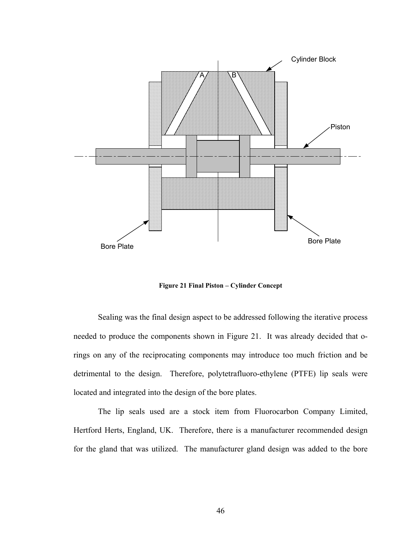

**Figure 21 Final Piston – Cylinder Concept** 

Sealing was the final design aspect to be addressed following the iterative process needed to produce the components shown in Figure 21. It was already decided that orings on any of the reciprocating components may introduce too much friction and be detrimental to the design. Therefore, polytetrafluoro-ethylene (PTFE) lip seals were located and integrated into the design of the bore plates.

The lip seals used are a stock item from Fluorocarbon Company Limited, Hertford Herts, England, UK. Therefore, there is a manufacturer recommended design for the gland that was utilized. The manufacturer gland design was added to the bore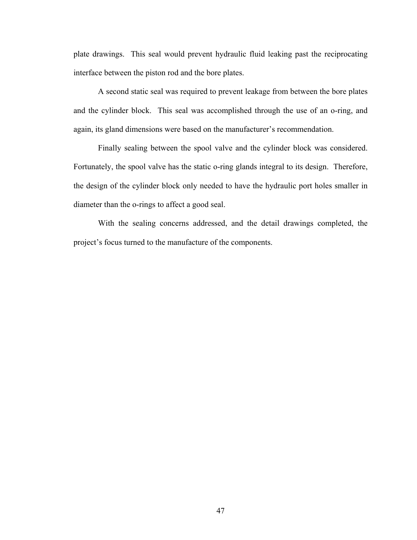plate drawings. This seal would prevent hydraulic fluid leaking past the reciprocating interface between the piston rod and the bore plates.

A second static seal was required to prevent leakage from between the bore plates and the cylinder block. This seal was accomplished through the use of an o-ring, and again, its gland dimensions were based on the manufacturer's recommendation.

Finally sealing between the spool valve and the cylinder block was considered. Fortunately, the spool valve has the static o-ring glands integral to its design. Therefore, the design of the cylinder block only needed to have the hydraulic port holes smaller in diameter than the o-rings to affect a good seal.

With the sealing concerns addressed, and the detail drawings completed, the project's focus turned to the manufacture of the components.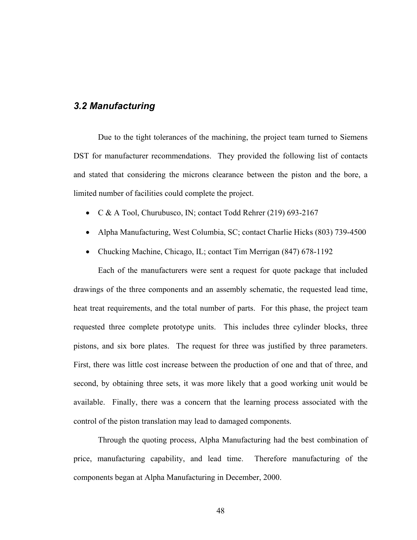### *3.2 Manufacturing*

Due to the tight tolerances of the machining, the project team turned to Siemens DST for manufacturer recommendations. They provided the following list of contacts and stated that considering the microns clearance between the piston and the bore, a limited number of facilities could complete the project.

- C & A Tool, Churubusco, IN; contact Todd Rehrer (219) 693-2167
- Alpha Manufacturing, West Columbia, SC; contact Charlie Hicks (803) 739-4500
- Chucking Machine, Chicago, IL; contact Tim Merrigan (847) 678-1192

Each of the manufacturers were sent a request for quote package that included drawings of the three components and an assembly schematic, the requested lead time, heat treat requirements, and the total number of parts. For this phase, the project team requested three complete prototype units. This includes three cylinder blocks, three pistons, and six bore plates. The request for three was justified by three parameters. First, there was little cost increase between the production of one and that of three, and second, by obtaining three sets, it was more likely that a good working unit would be available. Finally, there was a concern that the learning process associated with the control of the piston translation may lead to damaged components.

Through the quoting process, Alpha Manufacturing had the best combination of price, manufacturing capability, and lead time. Therefore manufacturing of the components began at Alpha Manufacturing in December, 2000.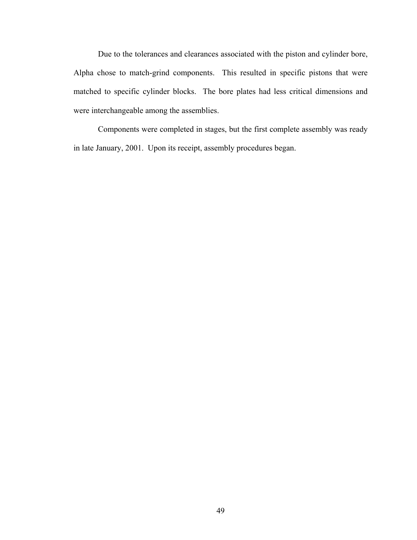Due to the tolerances and clearances associated with the piston and cylinder bore, Alpha chose to match-grind components. This resulted in specific pistons that were matched to specific cylinder blocks. The bore plates had less critical dimensions and were interchangeable among the assemblies.

Components were completed in stages, but the first complete assembly was ready in late January, 2001. Upon its receipt, assembly procedures began.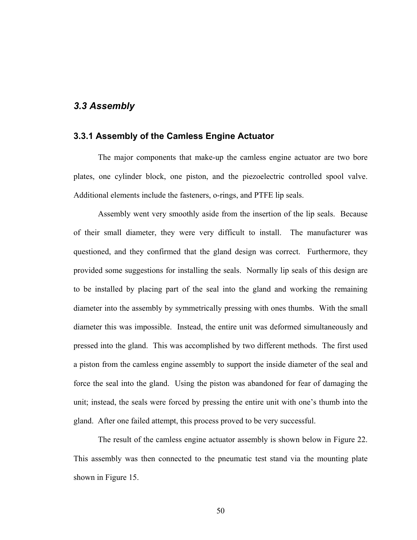### *3.3 Assembly*

### **3.3.1 Assembly of the Camless Engine Actuator**

The major components that make-up the camless engine actuator are two bore plates, one cylinder block, one piston, and the piezoelectric controlled spool valve. Additional elements include the fasteners, o-rings, and PTFE lip seals.

Assembly went very smoothly aside from the insertion of the lip seals. Because of their small diameter, they were very difficult to install. The manufacturer was questioned, and they confirmed that the gland design was correct. Furthermore, they provided some suggestions for installing the seals. Normally lip seals of this design are to be installed by placing part of the seal into the gland and working the remaining diameter into the assembly by symmetrically pressing with ones thumbs. With the small diameter this was impossible. Instead, the entire unit was deformed simultaneously and pressed into the gland. This was accomplished by two different methods. The first used a piston from the camless engine assembly to support the inside diameter of the seal and force the seal into the gland. Using the piston was abandoned for fear of damaging the unit; instead, the seals were forced by pressing the entire unit with one's thumb into the gland. After one failed attempt, this process proved to be very successful.

The result of the camless engine actuator assembly is shown below in Figure 22. This assembly was then connected to the pneumatic test stand via the mounting plate shown in Figure 15.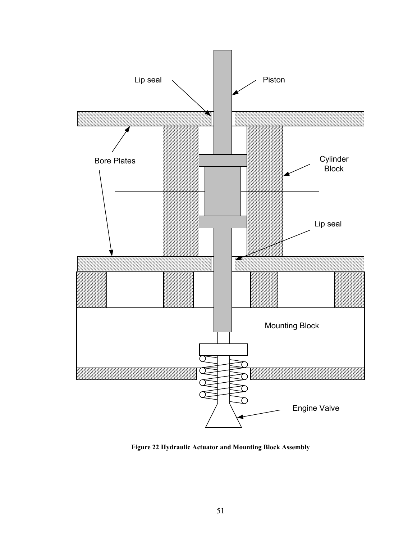

**Figure 22 Hydraulic Actuator and Mounting Block Assembly**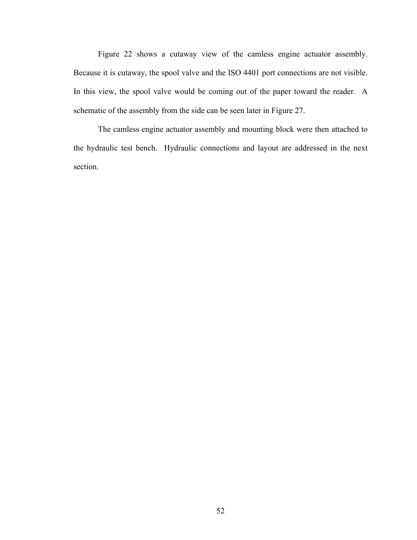Figure 22 shows a cutaway view of the camless engine actuator assembly. Because it is cutaway, the spool valve and the ISO 4401 port connections are not visible. In this view, the spool valve would be coming out of the paper toward the reader. A schematic of the assembly from the side can be seen later in Figure 27.

The camless engine actuator assembly and mounting block were then attached to the hydraulic test bench. Hydraulic connections and layout are addressed in the next section.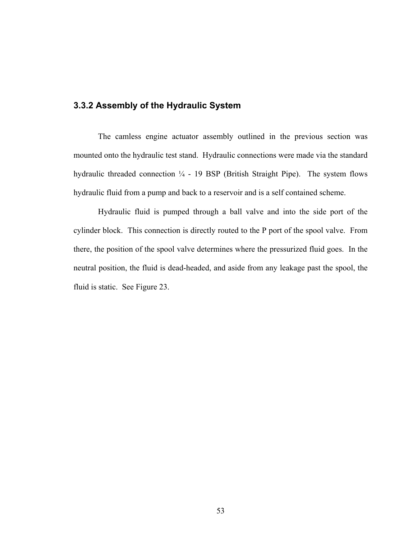### **3.3.2 Assembly of the Hydraulic System**

The camless engine actuator assembly outlined in the previous section was mounted onto the hydraulic test stand. Hydraulic connections were made via the standard hydraulic threaded connection  $\frac{1}{4}$  - 19 BSP (British Straight Pipe). The system flows hydraulic fluid from a pump and back to a reservoir and is a self contained scheme.

Hydraulic fluid is pumped through a ball valve and into the side port of the cylinder block. This connection is directly routed to the P port of the spool valve. From there, the position of the spool valve determines where the pressurized fluid goes. In the neutral position, the fluid is dead-headed, and aside from any leakage past the spool, the fluid is static. See Figure 23.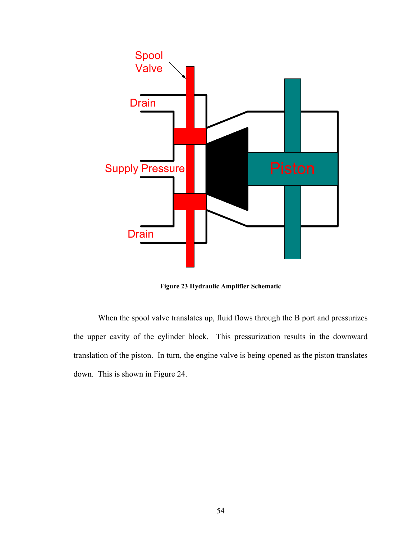

**Figure 23 Hydraulic Amplifier Schematic** 

When the spool valve translates up, fluid flows through the B port and pressurizes the upper cavity of the cylinder block. This pressurization results in the downward translation of the piston. In turn, the engine valve is being opened as the piston translates down. This is shown in Figure 24.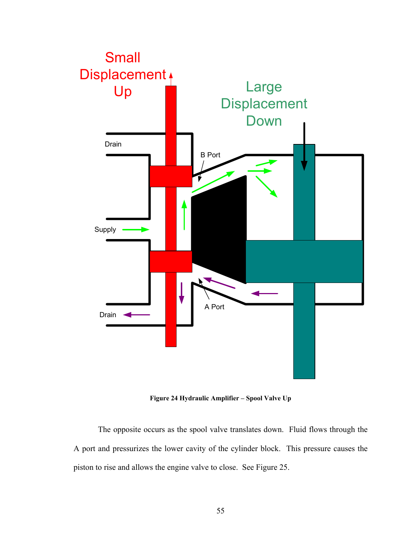

**Figure 24 Hydraulic Amplifier – Spool Valve Up** 

The opposite occurs as the spool valve translates down. Fluid flows through the A port and pressurizes the lower cavity of the cylinder block. This pressure causes the piston to rise and allows the engine valve to close. See Figure 25.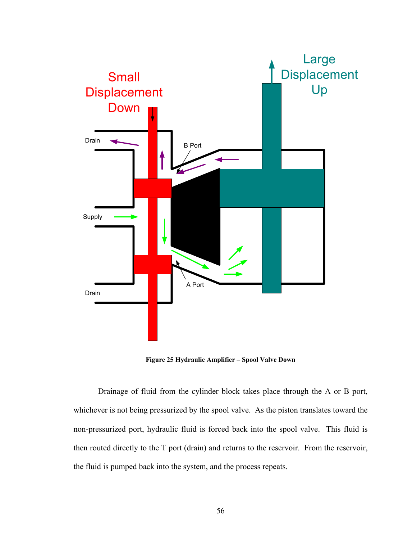

**Figure 25 Hydraulic Amplifier – Spool Valve Down**

Drainage of fluid from the cylinder block takes place through the A or B port, whichever is not being pressurized by the spool valve. As the piston translates toward the non-pressurized port, hydraulic fluid is forced back into the spool valve. This fluid is then routed directly to the T port (drain) and returns to the reservoir. From the reservoir, the fluid is pumped back into the system, and the process repeats.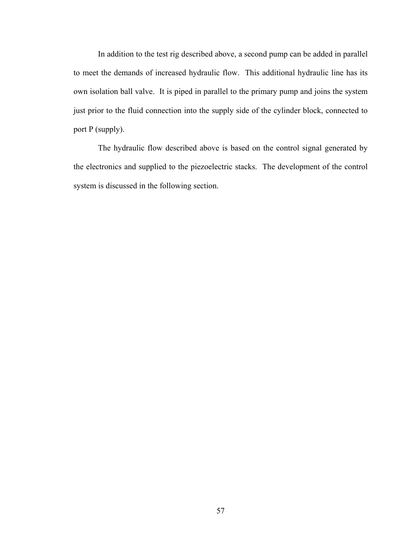In addition to the test rig described above, a second pump can be added in parallel to meet the demands of increased hydraulic flow. This additional hydraulic line has its own isolation ball valve. It is piped in parallel to the primary pump and joins the system just prior to the fluid connection into the supply side of the cylinder block, connected to port P (supply).

The hydraulic flow described above is based on the control signal generated by the electronics and supplied to the piezoelectric stacks. The development of the control system is discussed in the following section.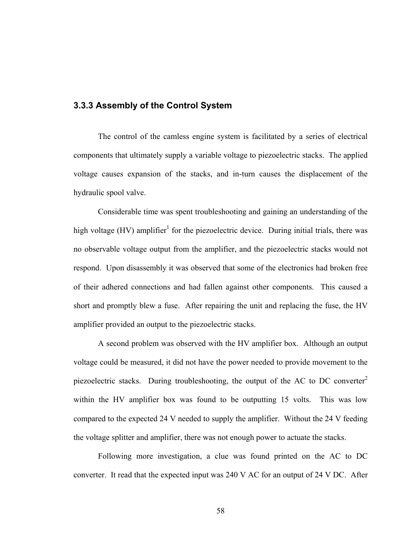## **3.3.3 Assembly of the Control System**

The control of the camless engine system is facilitated by a series of electrical components that ultimately supply a variable voltage to piezoelectric stacks. The applied voltage causes expansion of the stacks, and in-turn causes the displacement of the hydraulic spool valve.

Considerable time was spent troubleshooting and gaining an understanding of the high voltage (HV) amplifier<sup>[1](#page-71-0)</sup> for the piezoelectric device. During initial trials, there was no observable voltage output from the amplifier, and the piezoelectric stacks would not respond. Upon disassembly it was observed that some of the electronics had broken free of their adhered connections and had fallen against other components. This caused a short and promptly blew a fuse. After repairing the unit and replacing the fuse, the HV amplifier provided an output to the piezoelectric stacks.

A second problem was observed with the HV amplifier box. Although an output voltage could be measured, it did not have the power needed to provide movement to the piezoelectric stacks. During troubleshooting, the output of the AC to DC converter<sup>[2](#page-71-1)</sup> within the HV amplifier box was found to be outputting 15 volts. This was low compared to the expected 24 V needed to supply the amplifier. Without the 24 V feeding the voltage splitter and amplifier, there was not enough power to actuate the stacks.

Following more investigation, a clue was found printed on the AC to DC converter. It read that the expected input was 240 V AC for an output of 24 V DC. After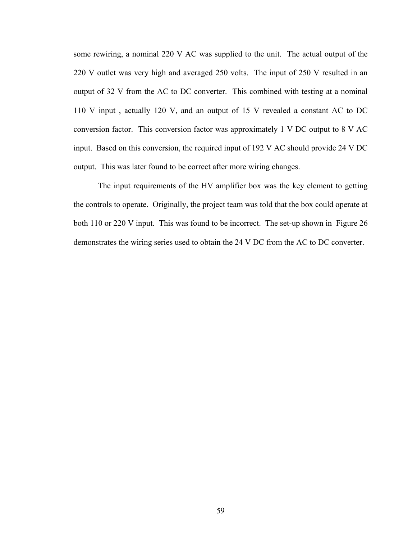some rewiring, a nominal 220 V AC was supplied to the unit. The actual output of the 220 V outlet was very high and averaged 250 volts. The input of 250 V resulted in an output of 32 V from the AC to DC converter. This combined with testing at a nominal 110 V input , actually 120 V, and an output of 15 V revealed a constant AC to DC conversion factor. This conversion factor was approximately 1 V DC output to 8 V AC input. Based on this conversion, the required input of 192 V AC should provide 24 V DC output. This was later found to be correct after more wiring changes.

The input requirements of the HV amplifier box was the key element to getting the controls to operate. Originally, the project team was told that the box could operate at both 110 or 220 V input. This was found to be incorrect. The set-up shown in Figure 26 demonstrates the wiring series used to obtain the 24 V DC from the AC to DC converter.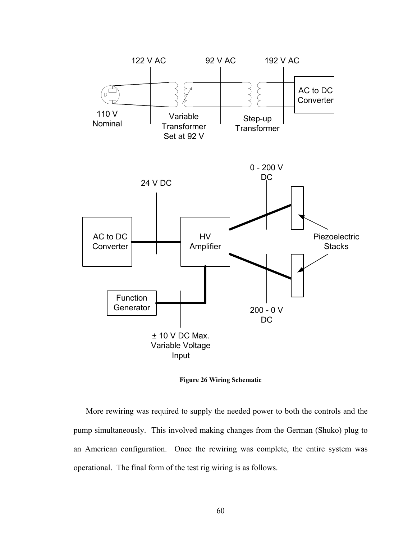

**Figure 26 Wiring Schematic** 

More rewiring was required to supply the needed power to both the controls and the pump simultaneously. This involved making changes from the German (Shuko) plug to an American configuration. Once the rewiring was complete, the entire system was operational. The final form of the test rig wiring is as follows.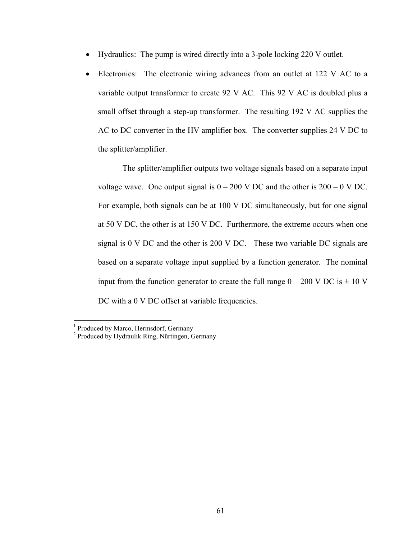- Hydraulics: The pump is wired directly into a 3-pole locking 220 V outlet.
- Electronics: The electronic wiring advances from an outlet at 122 V AC to a variable output transformer to create 92 V AC. This 92 V AC is doubled plus a small offset through a step-up transformer. The resulting 192 V AC supplies the AC to DC converter in the HV amplifier box. The converter supplies 24 V DC to the splitter/amplifier.

The splitter/amplifier outputs two voltage signals based on a separate input voltage wave. One output signal is  $0 - 200$  V DC and the other is  $200 - 0$  V DC. For example, both signals can be at 100 V DC simultaneously, but for one signal at 50 V DC, the other is at 150 V DC. Furthermore, the extreme occurs when one signal is 0 V DC and the other is 200 V DC. These two variable DC signals are based on a separate voltage input supplied by a function generator. The nominal input from the function generator to create the full range  $0 - 200$  V DC is  $\pm 10$  V DC with a 0 V DC offset at variable frequencies.

 $\frac{1}{1}$ <sup>1</sup> Produced by Marco, Hermsdorf, Germany

<sup>&</sup>lt;sup>2</sup> Produced by Hydraulik Ring, Nűrtingen, Germany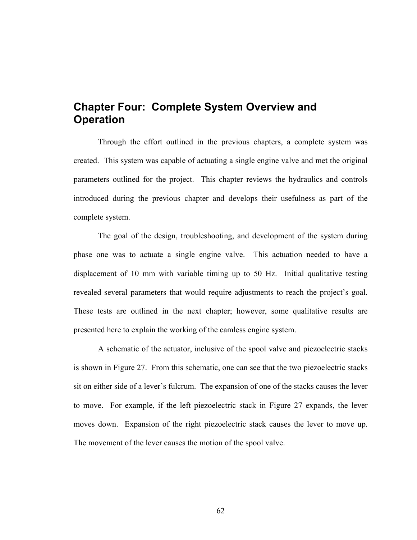# **Chapter Four: Complete System Overview and Operation**

Through the effort outlined in the previous chapters, a complete system was created. This system was capable of actuating a single engine valve and met the original parameters outlined for the project. This chapter reviews the hydraulics and controls introduced during the previous chapter and develops their usefulness as part of the complete system.

The goal of the design, troubleshooting, and development of the system during phase one was to actuate a single engine valve. This actuation needed to have a displacement of 10 mm with variable timing up to 50 Hz. Initial qualitative testing revealed several parameters that would require adjustments to reach the project's goal. These tests are outlined in the next chapter; however, some qualitative results are presented here to explain the working of the camless engine system.

<span id="page-71-1"></span><span id="page-71-0"></span>A schematic of the actuator, inclusive of the spool valve and piezoelectric stacks is shown in Figure 27. From this schematic, one can see that the two piezoelectric stacks sit on either side of a lever's fulcrum. The expansion of one of the stacks causes the lever to move. For example, if the left piezoelectric stack in Figure 27 expands, the lever moves down. Expansion of the right piezoelectric stack causes the lever to move up. The movement of the lever causes the motion of the spool valve.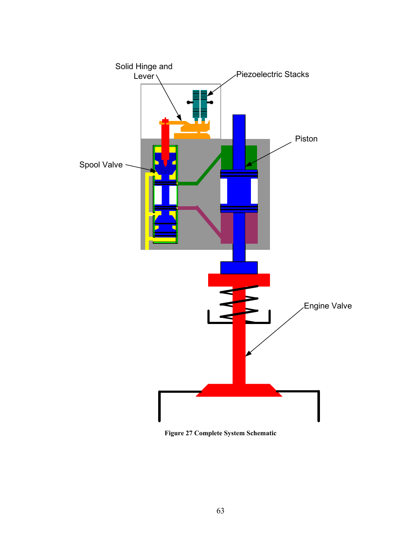

**Figure 27 Complete System Schematic**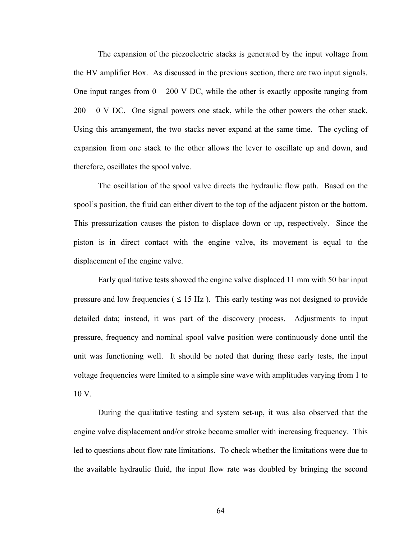The expansion of the piezoelectric stacks is generated by the input voltage from the HV amplifier Box. As discussed in the previous section, there are two input signals. One input ranges from  $0 - 200$  V DC, while the other is exactly opposite ranging from  $200 - 0$  V DC. One signal powers one stack, while the other powers the other stack. Using this arrangement, the two stacks never expand at the same time. The cycling of expansion from one stack to the other allows the lever to oscillate up and down, and therefore, oscillates the spool valve.

The oscillation of the spool valve directs the hydraulic flow path. Based on the spool's position, the fluid can either divert to the top of the adjacent piston or the bottom. This pressurization causes the piston to displace down or up, respectively. Since the piston is in direct contact with the engine valve, its movement is equal to the displacement of the engine valve.

Early qualitative tests showed the engine valve displaced 11 mm with 50 bar input pressure and low frequencies ( $\leq 15$  Hz). This early testing was not designed to provide detailed data; instead, it was part of the discovery process. Adjustments to input pressure, frequency and nominal spool valve position were continuously done until the unit was functioning well. It should be noted that during these early tests, the input voltage frequencies were limited to a simple sine wave with amplitudes varying from 1 to 10 V.

During the qualitative testing and system set-up, it was also observed that the engine valve displacement and/or stroke became smaller with increasing frequency. This led to questions about flow rate limitations. To check whether the limitations were due to the available hydraulic fluid, the input flow rate was doubled by bringing the second

64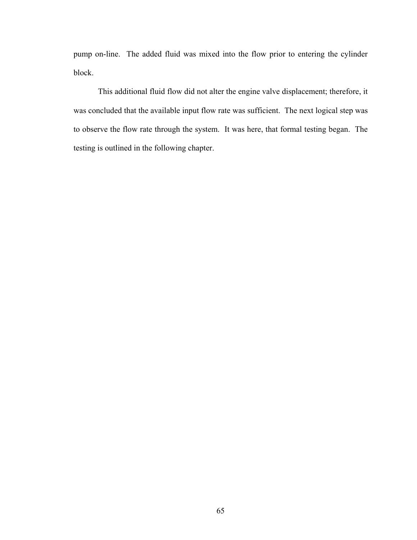pump on-line. The added fluid was mixed into the flow prior to entering the cylinder block.

This additional fluid flow did not alter the engine valve displacement; therefore, it was concluded that the available input flow rate was sufficient. The next logical step was to observe the flow rate through the system. It was here, that formal testing began. The testing is outlined in the following chapter.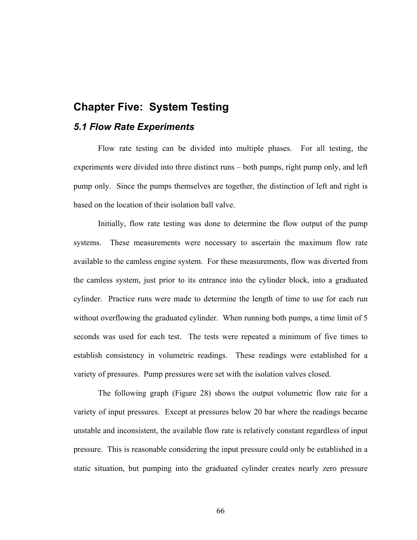### **Chapter Five: System Testing**

#### *5.1 Flow Rate Experiments*

Flow rate testing can be divided into multiple phases. For all testing, the experiments were divided into three distinct runs – both pumps, right pump only, and left pump only. Since the pumps themselves are together, the distinction of left and right is based on the location of their isolation ball valve.

Initially, flow rate testing was done to determine the flow output of the pump systems. These measurements were necessary to ascertain the maximum flow rate available to the camless engine system. For these measurements, flow was diverted from the camless system, just prior to its entrance into the cylinder block, into a graduated cylinder. Practice runs were made to determine the length of time to use for each run without overflowing the graduated cylinder. When running both pumps, a time limit of 5 seconds was used for each test. The tests were repeated a minimum of five times to establish consistency in volumetric readings. These readings were established for a variety of pressures. Pump pressures were set with the isolation valves closed.

The following graph (Figure 28) shows the output volumetric flow rate for a variety of input pressures. Except at pressures below 20 bar where the readings became unstable and inconsistent, the available flow rate is relatively constant regardless of input pressure. This is reasonable considering the input pressure could only be established in a static situation, but pumping into the graduated cylinder creates nearly zero pressure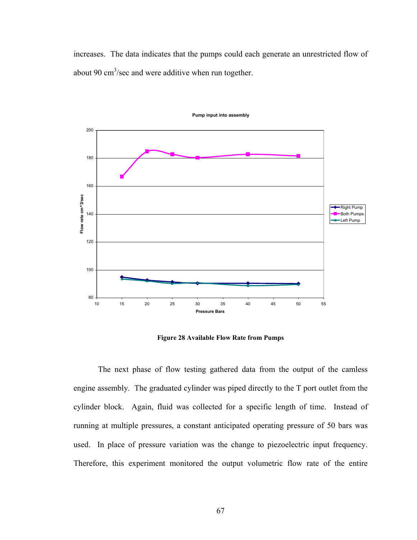increases. The data indicates that the pumps could each generate an unrestricted flow of about 90  $\text{cm}^3/\text{sec}$  and were additive when run together.



**Pump input into assembly**

**Figure 28 Available Flow Rate from Pumps** 

The next phase of flow testing gathered data from the output of the camless engine assembly. The graduated cylinder was piped directly to the T port outlet from the cylinder block. Again, fluid was collected for a specific length of time. Instead of running at multiple pressures, a constant anticipated operating pressure of 50 bars was used. In place of pressure variation was the change to piezoelectric input frequency. Therefore, this experiment monitored the output volumetric flow rate of the entire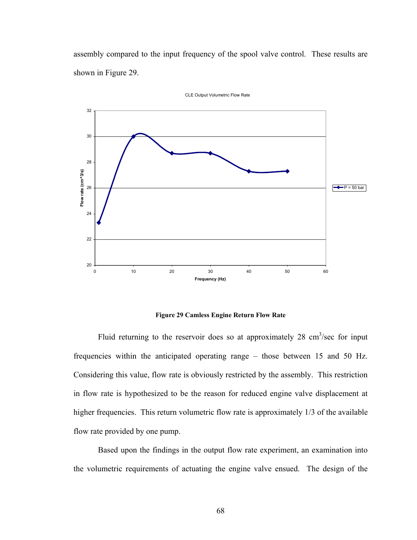assembly compared to the input frequency of the spool valve control. These results are shown in Figure 29.



CLE Output Volumetric Flow Rate

**Figure 29 Camless Engine Return Flow Rate** 

Fluid returning to the reservoir does so at approximately 28  $\text{cm}^3/\text{sec}$  for input frequencies within the anticipated operating range – those between 15 and 50 Hz. Considering this value, flow rate is obviously restricted by the assembly. This restriction in flow rate is hypothesized to be the reason for reduced engine valve displacement at higher frequencies. This return volumetric flow rate is approximately 1/3 of the available flow rate provided by one pump.

Based upon the findings in the output flow rate experiment, an examination into the volumetric requirements of actuating the engine valve ensued. The design of the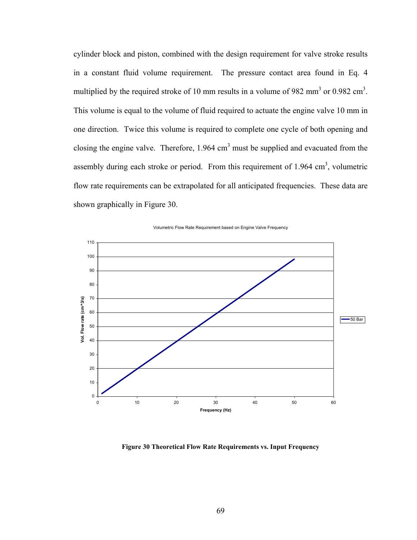cylinder block and piston, combined with the design requirement for valve stroke results in a constant fluid volume requirement. The pressure contact area found in Eq. 4 multiplied by the required stroke of 10 mm results in a volume of 982 mm<sup>3</sup> or 0.982 cm<sup>3</sup>. This volume is equal to the volume of fluid required to actuate the engine valve 10 mm in one direction. Twice this volume is required to complete one cycle of both opening and closing the engine valve. Therefore,  $1.964 \text{ cm}^3$  must be supplied and evacuated from the assembly during each stroke or period. From this requirement of  $1.964 \text{ cm}^3$ , volumetric flow rate requirements can be extrapolated for all anticipated frequencies. These data are shown graphically in Figure 30.



Volumetric Flow Rate Requirement based on Engine Valve Frequency

**Figure 30 Theoretical Flow Rate Requirements vs. Input Frequency**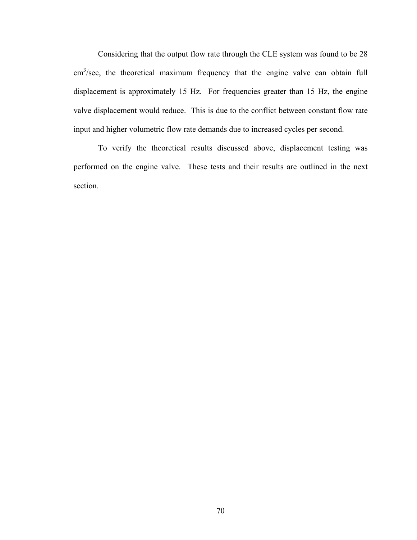Considering that the output flow rate through the CLE system was found to be 28  $\text{cm}^3/\text{sec}$ , the theoretical maximum frequency that the engine valve can obtain full displacement is approximately 15 Hz. For frequencies greater than 15 Hz, the engine valve displacement would reduce. This is due to the conflict between constant flow rate input and higher volumetric flow rate demands due to increased cycles per second.

To verify the theoretical results discussed above, displacement testing was performed on the engine valve. These tests and their results are outlined in the next section.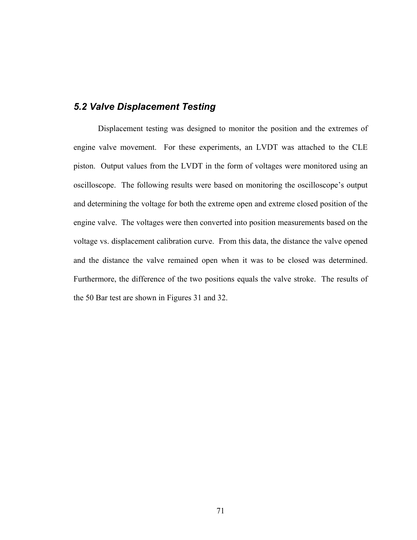#### *5.2 Valve Displacement Testing*

Displacement testing was designed to monitor the position and the extremes of engine valve movement. For these experiments, an LVDT was attached to the CLE piston. Output values from the LVDT in the form of voltages were monitored using an oscilloscope. The following results were based on monitoring the oscilloscope's output and determining the voltage for both the extreme open and extreme closed position of the engine valve. The voltages were then converted into position measurements based on the voltage vs. displacement calibration curve. From this data, the distance the valve opened and the distance the valve remained open when it was to be closed was determined. Furthermore, the difference of the two positions equals the valve stroke. The results of the 50 Bar test are shown in Figures 31 and 32.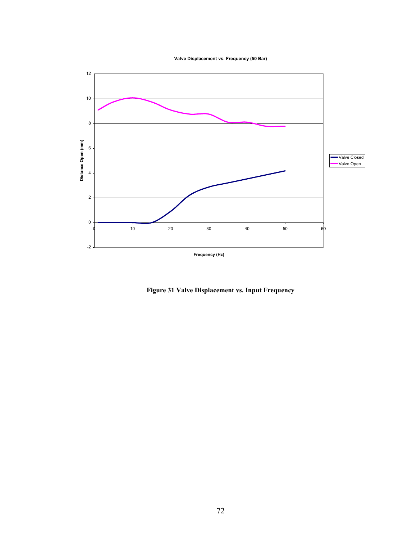**Valve Displacement vs. Frequency (50 Bar)**



**Figure 31 Valve Displacement vs. Input Frequency**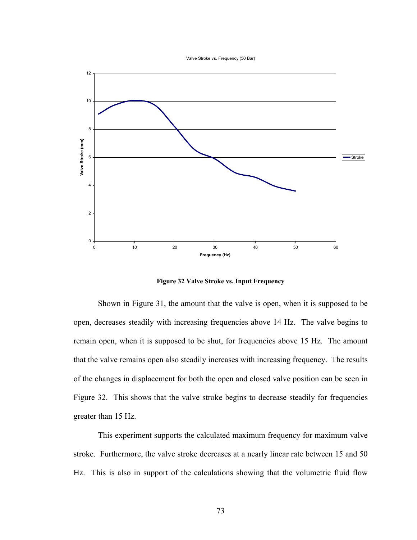Valve Stroke vs. Frequency (50 Bar)



**Figure 32 Valve Stroke vs. Input Frequency** 

Shown in Figure 31, the amount that the valve is open, when it is supposed to be open, decreases steadily with increasing frequencies above 14 Hz. The valve begins to remain open, when it is supposed to be shut, for frequencies above 15 Hz. The amount that the valve remains open also steadily increases with increasing frequency. The results of the changes in displacement for both the open and closed valve position can be seen in Figure 32. This shows that the valve stroke begins to decrease steadily for frequencies greater than 15 Hz.

This experiment supports the calculated maximum frequency for maximum valve stroke. Furthermore, the valve stroke decreases at a nearly linear rate between 15 and 50 Hz. This is also in support of the calculations showing that the volumetric fluid flow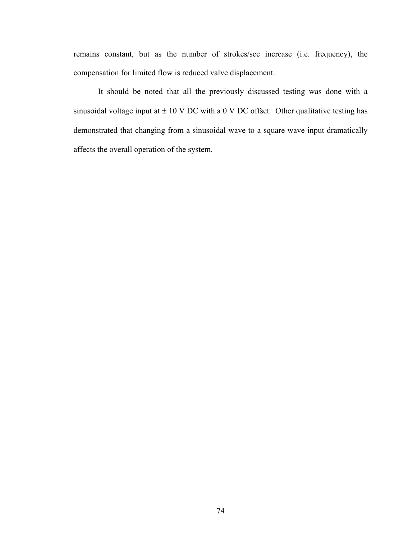remains constant, but as the number of strokes/sec increase (i.e. frequency), the compensation for limited flow is reduced valve displacement.

It should be noted that all the previously discussed testing was done with a sinusoidal voltage input at  $\pm$  10 V DC with a 0 V DC offset. Other qualitative testing has demonstrated that changing from a sinusoidal wave to a square wave input dramatically affects the overall operation of the system.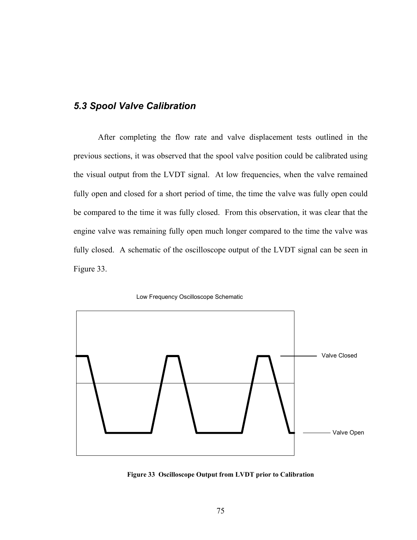#### *5.3 Spool Valve Calibration*

After completing the flow rate and valve displacement tests outlined in the previous sections, it was observed that the spool valve position could be calibrated using the visual output from the LVDT signal. At low frequencies, when the valve remained fully open and closed for a short period of time, the time the valve was fully open could be compared to the time it was fully closed. From this observation, it was clear that the engine valve was remaining fully open much longer compared to the time the valve was fully closed. A schematic of the oscilloscope output of the LVDT signal can be seen in Figure 33.





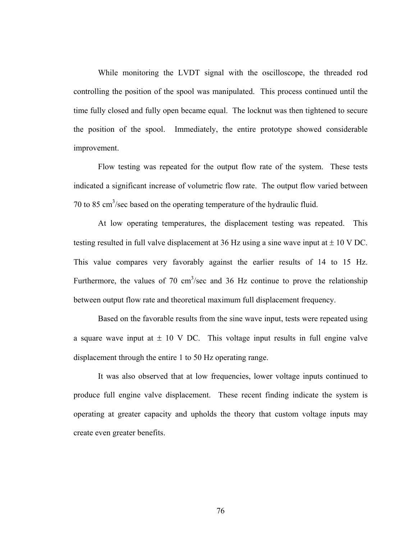While monitoring the LVDT signal with the oscilloscope, the threaded rod controlling the position of the spool was manipulated. This process continued until the time fully closed and fully open became equal. The locknut was then tightened to secure the position of the spool. Immediately, the entire prototype showed considerable improvement.

Flow testing was repeated for the output flow rate of the system. These tests indicated a significant increase of volumetric flow rate. The output flow varied between 70 to 85  $\text{cm}^3/\text{sec}$  based on the operating temperature of the hydraulic fluid.

At low operating temperatures, the displacement testing was repeated. This testing resulted in full valve displacement at 36 Hz using a sine wave input at  $\pm$  10 V DC. This value compares very favorably against the earlier results of 14 to 15 Hz. Furthermore, the values of 70  $\text{cm}^3/\text{sec}$  and 36 Hz continue to prove the relationship between output flow rate and theoretical maximum full displacement frequency.

Based on the favorable results from the sine wave input, tests were repeated using a square wave input at  $\pm$  10 V DC. This voltage input results in full engine valve displacement through the entire 1 to 50 Hz operating range.

It was also observed that at low frequencies, lower voltage inputs continued to produce full engine valve displacement. These recent finding indicate the system is operating at greater capacity and upholds the theory that custom voltage inputs may create even greater benefits.

76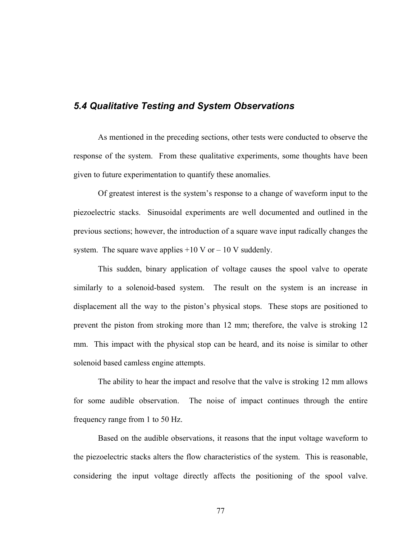#### *5.4 Qualitative Testing and System Observations*

As mentioned in the preceding sections, other tests were conducted to observe the response of the system. From these qualitative experiments, some thoughts have been given to future experimentation to quantify these anomalies.

Of greatest interest is the system's response to a change of waveform input to the piezoelectric stacks. Sinusoidal experiments are well documented and outlined in the previous sections; however, the introduction of a square wave input radically changes the system. The square wave applies  $+10$  V or  $-10$  V suddenly.

This sudden, binary application of voltage causes the spool valve to operate similarly to a solenoid-based system. The result on the system is an increase in displacement all the way to the piston's physical stops. These stops are positioned to prevent the piston from stroking more than 12 mm; therefore, the valve is stroking 12 mm. This impact with the physical stop can be heard, and its noise is similar to other solenoid based camless engine attempts.

The ability to hear the impact and resolve that the valve is stroking 12 mm allows for some audible observation. The noise of impact continues through the entire frequency range from 1 to 50 Hz.

Based on the audible observations, it reasons that the input voltage waveform to the piezoelectric stacks alters the flow characteristics of the system. This is reasonable, considering the input voltage directly affects the positioning of the spool valve.

77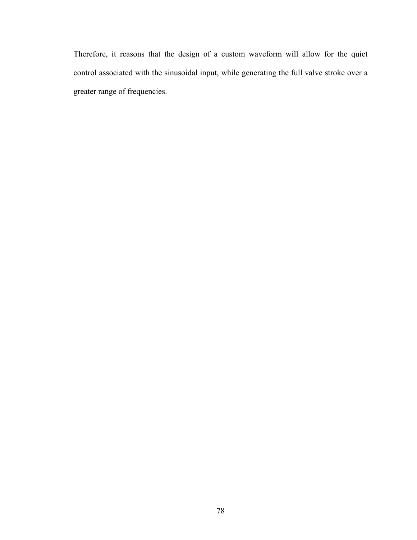Therefore, it reasons that the design of a custom waveform will allow for the quiet control associated with the sinusoidal input, while generating the full valve stroke over a greater range of frequencies.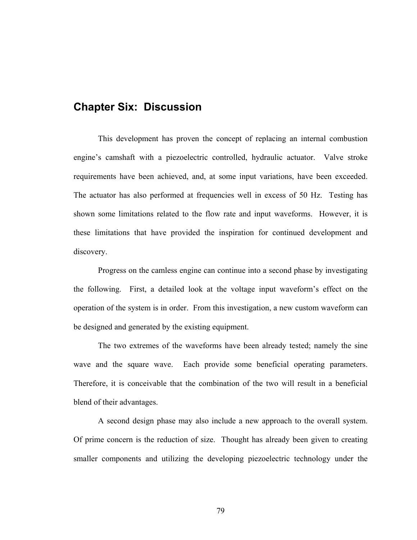## **Chapter Six: Discussion**

This development has proven the concept of replacing an internal combustion engine's camshaft with a piezoelectric controlled, hydraulic actuator. Valve stroke requirements have been achieved, and, at some input variations, have been exceeded. The actuator has also performed at frequencies well in excess of 50 Hz. Testing has shown some limitations related to the flow rate and input waveforms. However, it is these limitations that have provided the inspiration for continued development and discovery.

Progress on the camless engine can continue into a second phase by investigating the following. First, a detailed look at the voltage input waveform's effect on the operation of the system is in order. From this investigation, a new custom waveform can be designed and generated by the existing equipment.

The two extremes of the waveforms have been already tested; namely the sine wave and the square wave. Each provide some beneficial operating parameters. Therefore, it is conceivable that the combination of the two will result in a beneficial blend of their advantages.

A second design phase may also include a new approach to the overall system. Of prime concern is the reduction of size. Thought has already been given to creating smaller components and utilizing the developing piezoelectric technology under the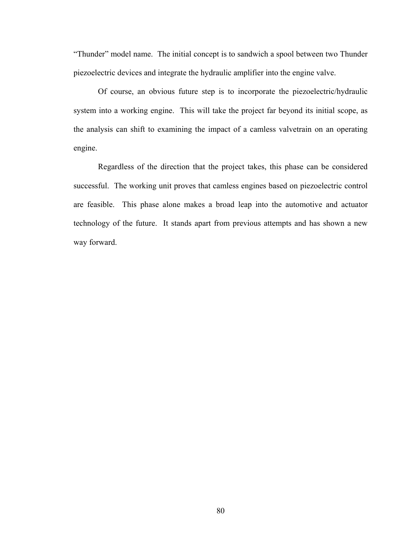"Thunder" model name. The initial concept is to sandwich a spool between two Thunder piezoelectric devices and integrate the hydraulic amplifier into the engine valve.

Of course, an obvious future step is to incorporate the piezoelectric/hydraulic system into a working engine. This will take the project far beyond its initial scope, as the analysis can shift to examining the impact of a camless valvetrain on an operating engine.

Regardless of the direction that the project takes, this phase can be considered successful. The working unit proves that camless engines based on piezoelectric control are feasible. This phase alone makes a broad leap into the automotive and actuator technology of the future. It stands apart from previous attempts and has shown a new way forward.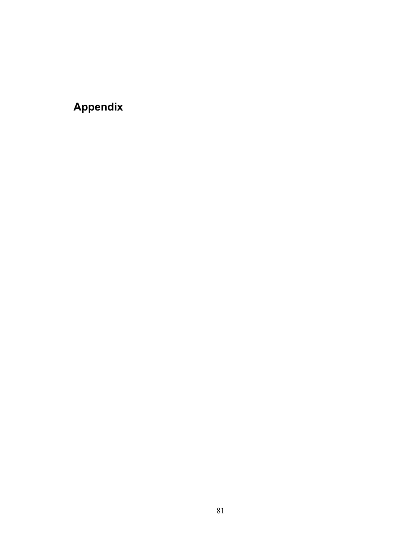# **Appendix**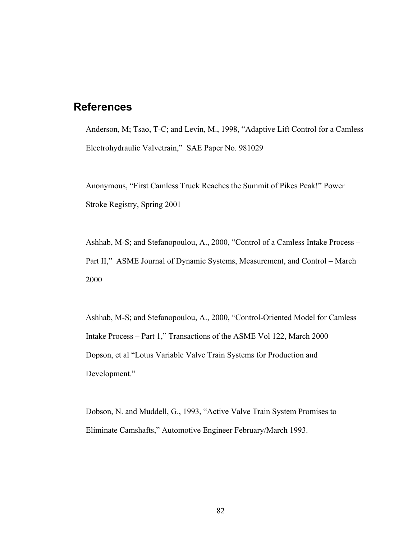# **References**

Anderson, M; Tsao, T-C; and Levin, M., 1998, "Adaptive Lift Control for a Camless Electrohydraulic Valvetrain," SAE Paper No. 981029

Anonymous, "First Camless Truck Reaches the Summit of Pikes Peak!" Power Stroke Registry, Spring 2001

Ashhab, M-S; and Stefanopoulou, A., 2000, "Control of a Camless Intake Process – Part II," ASME Journal of Dynamic Systems, Measurement, and Control – March 2000

Ashhab, M-S; and Stefanopoulou, A., 2000, "Control-Oriented Model for Camless Intake Process – Part 1," Transactions of the ASME Vol 122, March 2000 Dopson, et al "Lotus Variable Valve Train Systems for Production and Development."

Dobson, N. and Muddell, G., 1993, "Active Valve Train System Promises to Eliminate Camshafts," Automotive Engineer February/March 1993.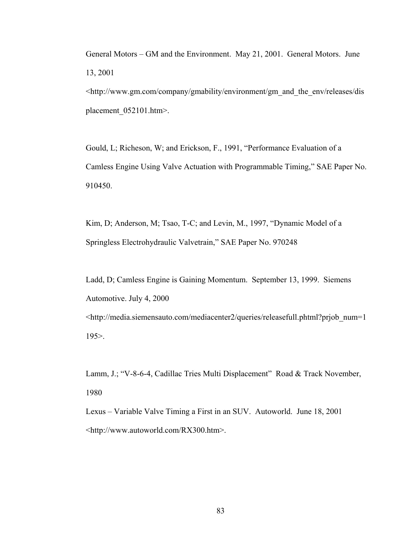General Motors – GM and the Environment. May 21, 2001. General Motors. June 13, 2001

<http://www.gm.com/company/gmability/environment/gm\_and\_the\_env/releases/dis placement 052101.htm>.

Gould, L; Richeson, W; and Erickson, F., 1991, "Performance Evaluation of a Camless Engine Using Valve Actuation with Programmable Timing," SAE Paper No. 910450.

Kim, D; Anderson, M; Tsao, T-C; and Levin, M., 1997, "Dynamic Model of a Springless Electrohydraulic Valvetrain," SAE Paper No. 970248

Ladd, D; Camless Engine is Gaining Momentum. September 13, 1999. Siemens Automotive. July 4, 2000 <http://media.siemensauto.com/mediacenter2/queries/releasefull.phtml?prjob\_num=1 195>.

Lamm, J.; "V-8-6-4, Cadillac Tries Multi Displacement" Road & Track November, 1980

Lexus – Variable Valve Timing a First in an SUV. Autoworld. June 18, 2001 <http://www.autoworld.com/RX300.htm>.